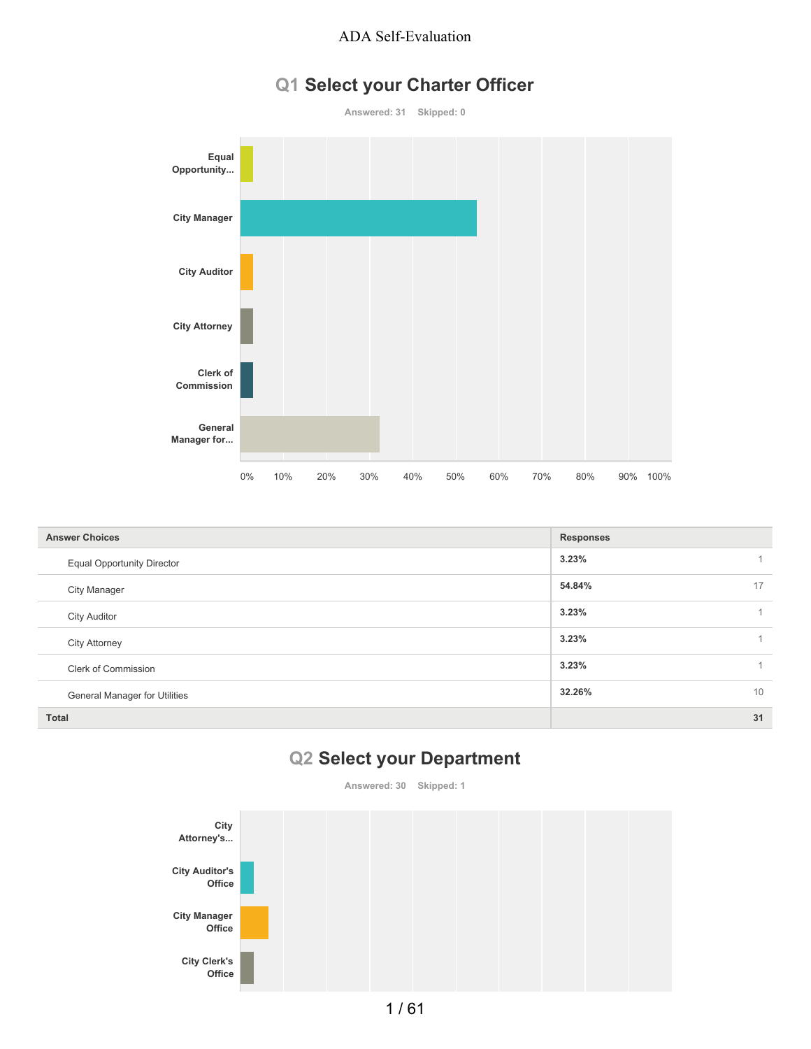# **Q1 Select your Charter Officer**



| <b>Answer Choices</b>                | <b>Responses</b> |
|--------------------------------------|------------------|
| <b>Equal Opportunity Director</b>    | 3.23%            |
| <b>City Manager</b>                  | 17<br>54.84%     |
| <b>City Auditor</b>                  | 3.23%<br>4       |
| <b>City Attorney</b>                 | 3.23%            |
| <b>Clerk of Commission</b>           | 3.23%<br>1       |
| <b>General Manager for Utilities</b> | 10<br>32.26%     |
| <b>Total</b>                         | 31               |

# **Q2 Select your Department**

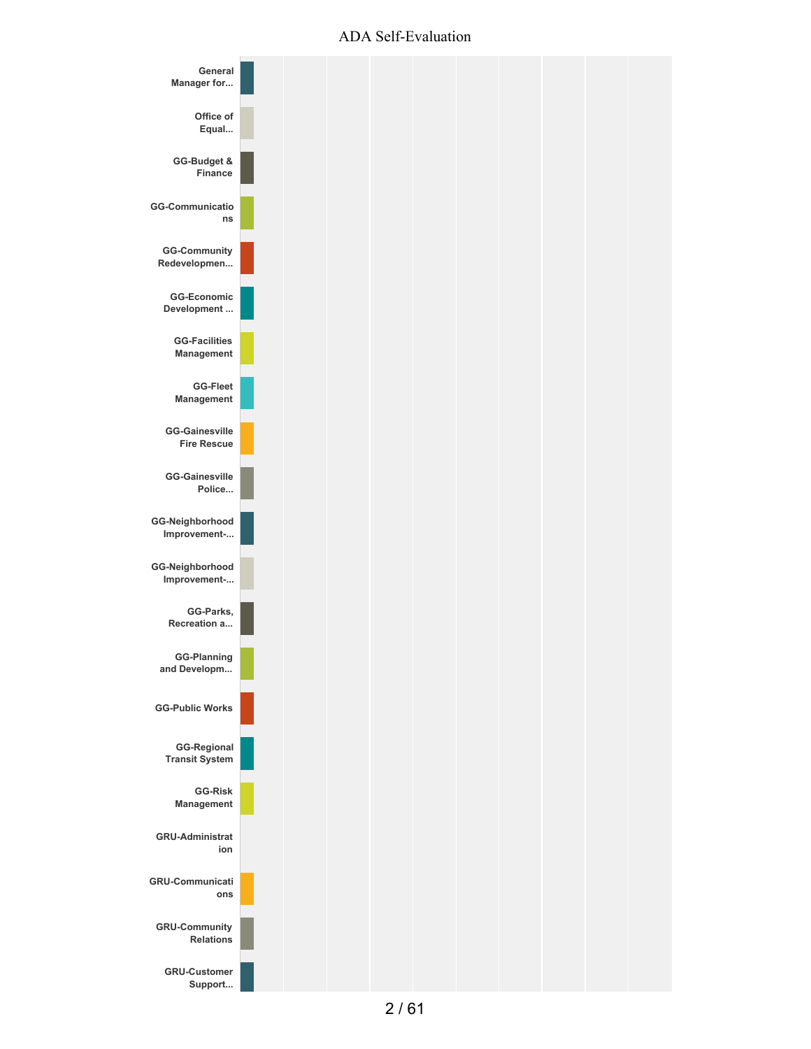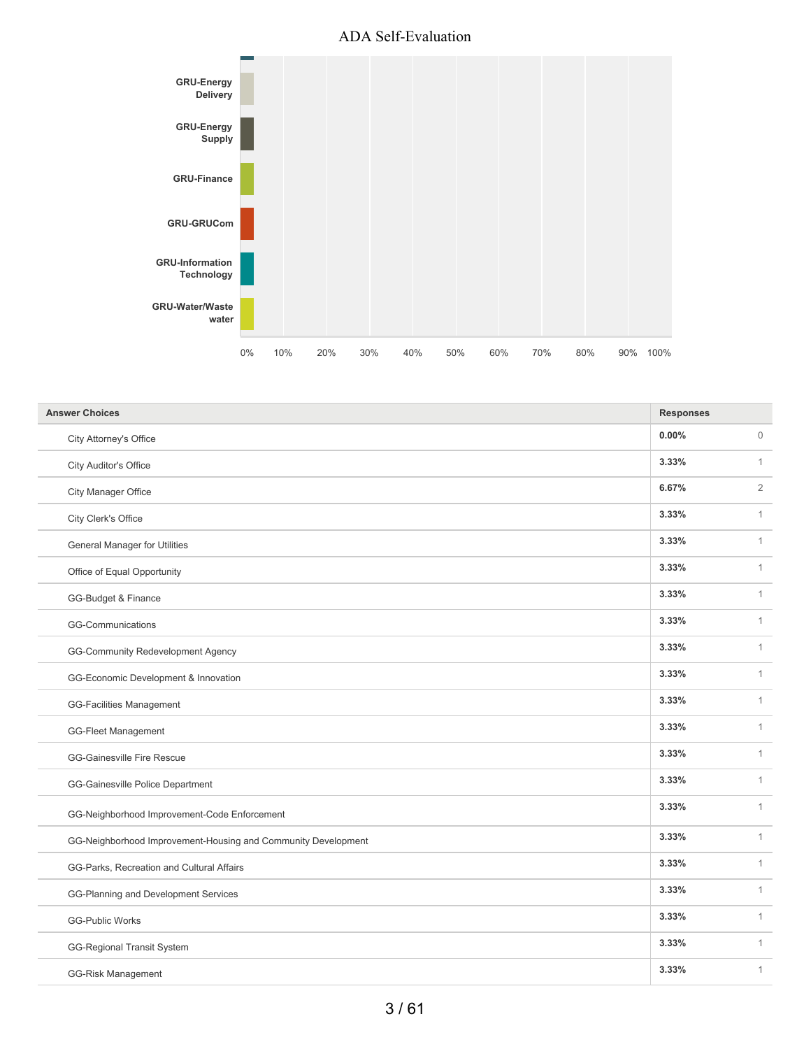

| <b>Answer Choices</b>                                         | <b>Responses</b> |                |
|---------------------------------------------------------------|------------------|----------------|
| City Attorney's Office                                        | 0.00%            | $\mathbf{0}$   |
| City Auditor's Office                                         | 3.33%            | $\mathbf{1}$   |
| City Manager Office                                           | 6.67%            | $\overline{2}$ |
| City Clerk's Office                                           | 3.33%            | $\mathbf{1}$   |
| General Manager for Utilities                                 | 3.33%            | $\mathbf{1}$   |
| Office of Equal Opportunity                                   | 3.33%            | $\mathbf{1}$   |
| GG-Budget & Finance                                           | 3.33%            | $\mathbf{1}$   |
| GG-Communications                                             | 3.33%            | $\mathbf{1}$   |
| GG-Community Redevelopment Agency                             | 3.33%            | $\mathbf{1}$   |
| GG-Economic Development & Innovation                          | 3.33%            | $\mathbf{1}$   |
| <b>GG-Facilities Management</b>                               | 3.33%            | $\mathbf{1}$   |
| <b>GG-Fleet Management</b>                                    | 3.33%            | $\mathbf{1}$   |
| <b>GG-Gainesville Fire Rescue</b>                             | 3.33%            | $\mathbf{1}$   |
| GG-Gainesville Police Department                              | 3.33%            | $\mathbf{1}$   |
| GG-Neighborhood Improvement-Code Enforcement                  | 3.33%            | $\mathbf{1}$   |
| GG-Neighborhood Improvement-Housing and Community Development | 3.33%            | $\mathbf{1}$   |
| GG-Parks, Recreation and Cultural Affairs                     | 3.33%            | $\mathbf{1}$   |
| GG-Planning and Development Services                          | 3.33%            | $\mathbf{1}$   |
| <b>GG-Public Works</b>                                        | 3.33%            | $\mathbf{1}$   |
| <b>GG-Regional Transit System</b>                             | 3.33%            | $\mathbf{1}$   |
| <b>GG-Risk Management</b>                                     | 3.33%            | $\mathbf{1}$   |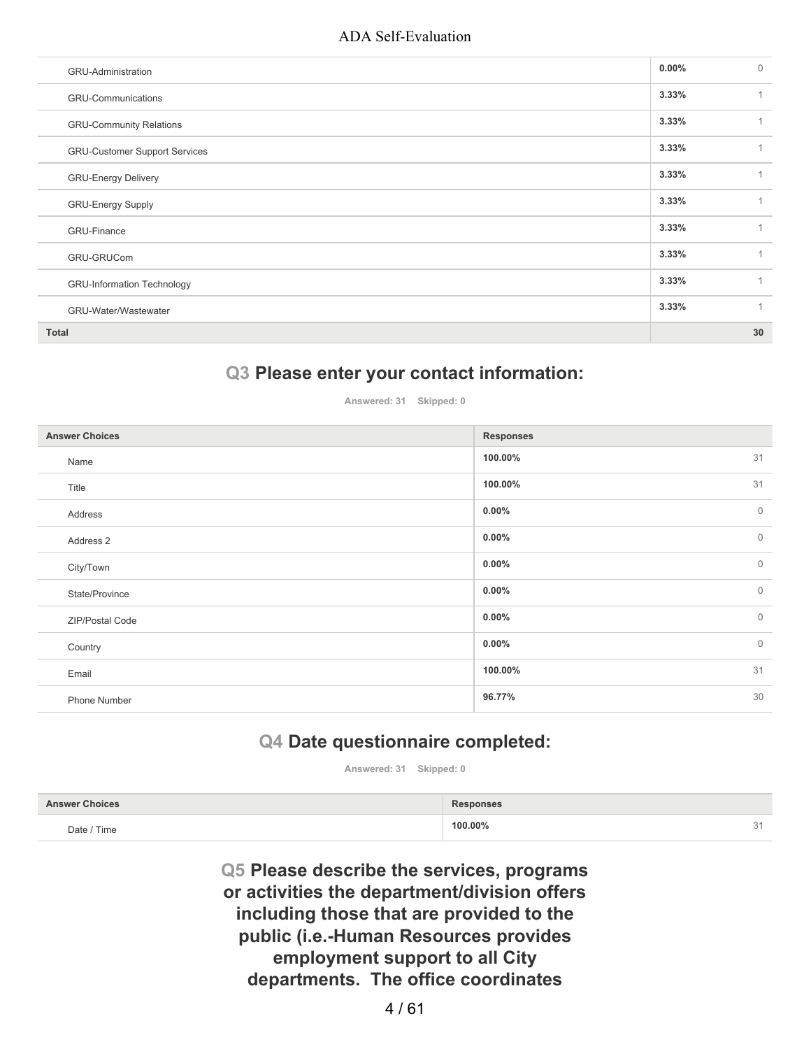| GRU-Administration                   | $0.00\%$ | $\mathbf{0}$ |
|--------------------------------------|----------|--------------|
| <b>GRU-Communications</b>            | 3.33%    | 1            |
| <b>GRU-Community Relations</b>       | 3.33%    |              |
| <b>GRU-Customer Support Services</b> | 3.33%    |              |
| <b>GRU-Energy Delivery</b>           | 3.33%    |              |
| <b>GRU-Energy Supply</b>             | 3.33%    | 1            |
| <b>GRU-Finance</b>                   | 3.33%    |              |
| GRU-GRUCom                           | 3.33%    | 1            |
| <b>GRU-Information Technology</b>    | 3.33%    |              |
| GRU-Water/Wastewater                 | 3.33%    | $\mathbf{1}$ |
| <b>Total</b>                         |          | 30           |

### **Q3 Please enter your contact information:**

**Answered: 31 Skipped: 0**

| <b>Answer Choices</b> | <b>Responses</b>         |
|-----------------------|--------------------------|
| Name                  | 31<br>100.00%            |
| Title                 | 31<br>100.00%            |
| Address               | $\mathbb O$<br>$0.00\%$  |
| Address 2             | $\mathbb O$<br>$0.00\%$  |
| City/Town             | $\mathbb O$<br>$0.00\%$  |
| State/Province        | $\mathbf{0}$<br>$0.00\%$ |
| ZIP/Postal Code       | $\mathbf 0$<br>$0.00\%$  |
| Country               | $\mathbf{0}$<br>$0.00\%$ |
| Email                 | 31<br>100.00%            |
| Phone Number          | 30<br>96.77%             |

# **Q4 Date questionnaire completed:**

**Answered: 31 Skipped: 0**

| <b>Answer Choices</b> | <b>Responses</b> |    |
|-----------------------|------------------|----|
| Date / Time           | 100.00%          | 31 |

**Q5 Please describe the services, programs or activities the department/division offers including those that are provided to the public (i.e.-Human Resources provides employment support to all City departments. The office coordinates**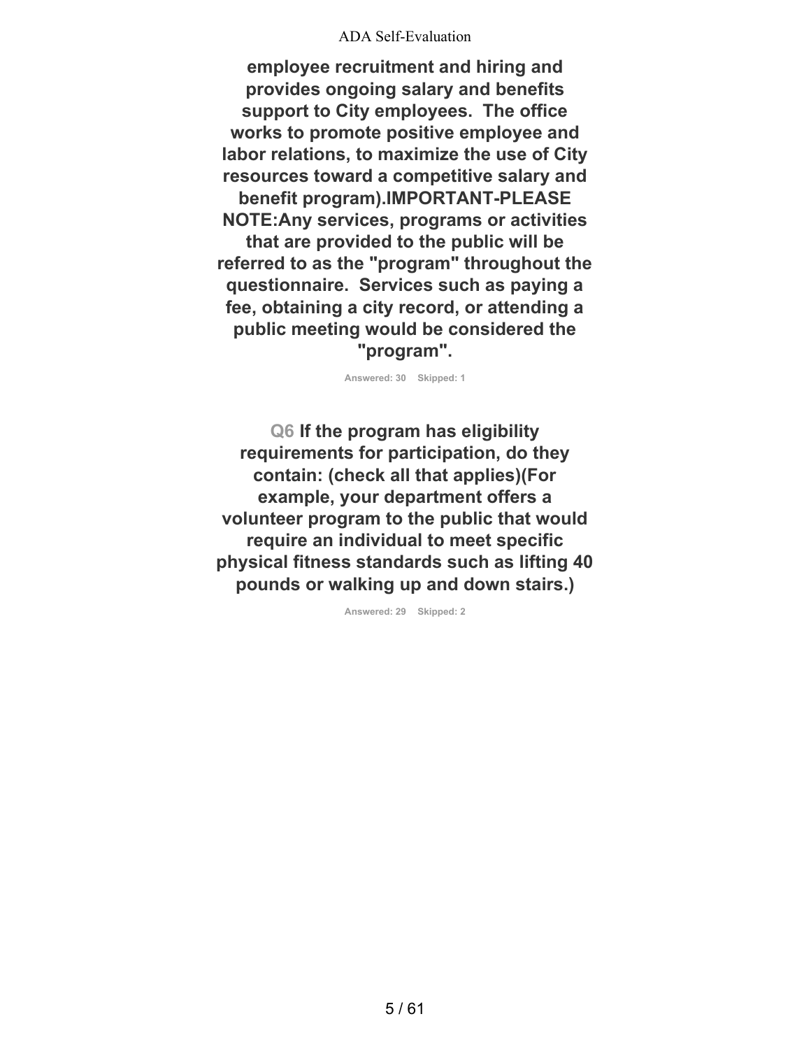**employee recruitment and hiring and provides ongoing salary and benefits support to City employees. The office works to promote positive employee and labor relations, to maximize the use of City resources toward a competitive salary and benefit program).IMPORTANT-PLEASE NOTE:Any services, programs or activities that are provided to the public will be referred to as the "program" throughout the questionnaire. Services such as paying a fee, obtaining a city record, or attending a public meeting would be considered the "program".**

**Answered: 30 Skipped: 1**

**Q6 If the program has eligibility requirements for participation, do they contain: (check all that applies)(For example, your department offers a volunteer program to the public that would require an individual to meet specific physical fitness standards such as lifting 40 pounds or walking up and down stairs.)**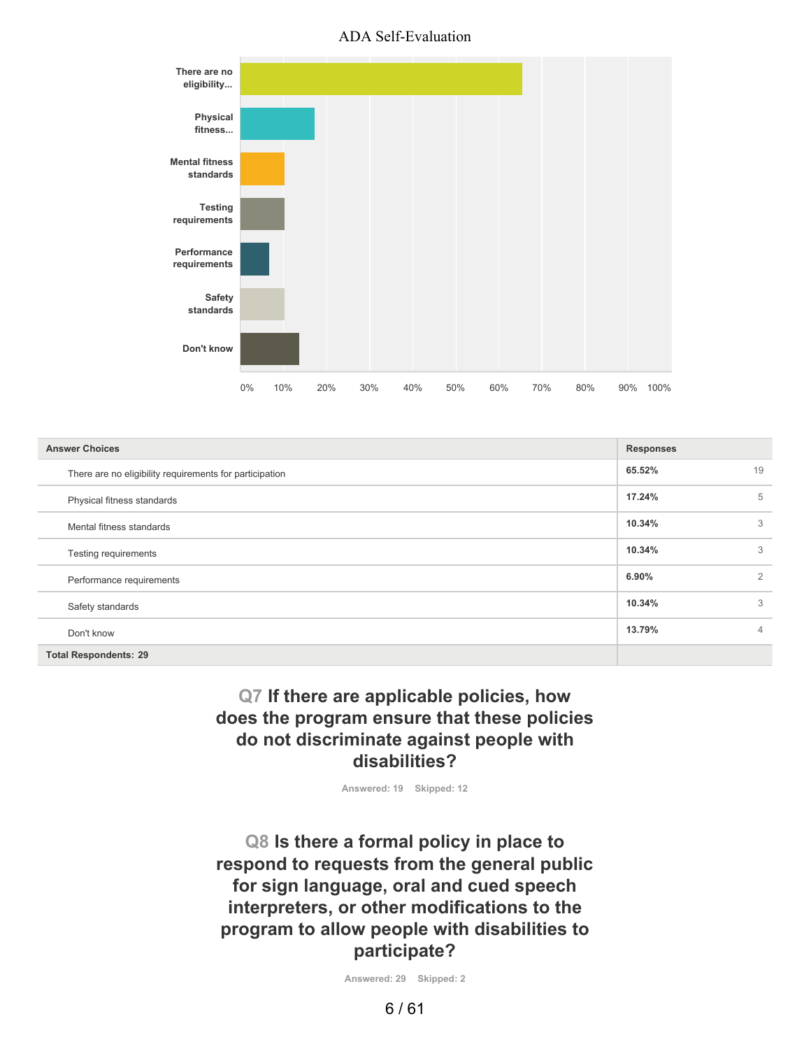

| <b>Answer Choices</b>                                   | <b>Responses</b> |                |
|---------------------------------------------------------|------------------|----------------|
| There are no eligibility requirements for participation | 65.52%           | 19             |
| Physical fitness standards                              | 17.24%           | 5              |
| Mental fitness standards                                | 10.34%           | 3              |
| Testing requirements                                    | 10.34%           | 3              |
| Performance requirements                                | 6.90%            | $\overline{2}$ |
| Safety standards                                        | 10.34%           | 3              |
| Don't know                                              | 13.79%           | $\overline{4}$ |
| <b>Total Respondents: 29</b>                            |                  |                |

## **Q7 If there are applicable policies, how does the program ensure that these policies do not discriminate against people with disabilities?**

**Answered: 19 Skipped: 12**

**Q8 Is there a formal policy in place to respond to requests from the general public for sign language, oral and cued speech interpreters, or other modifications to the program to allow people with disabilities to participate?**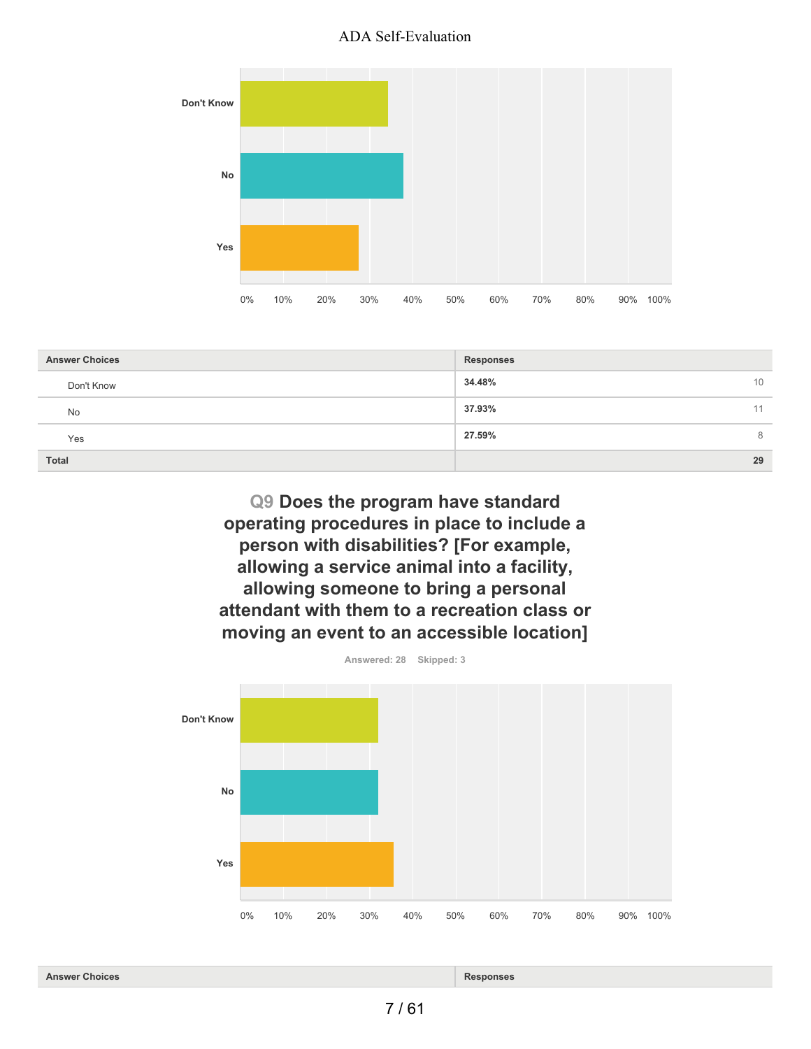

| <b>Answer Choices</b> | <b>Responses</b> |
|-----------------------|------------------|
| Don't Know            | 34.48%<br>10     |
| No                    | 37.93%<br>11     |
| Yes                   | 27.59%<br>8      |
| <b>Total</b>          | 29               |

**Q9 Does the program have standard operating procedures in place to include a person with disabilities? [For example, allowing a service animal into a facility, allowing someone to bring a personal attendant with them to a recreation class or moving an event to an accessible location]**

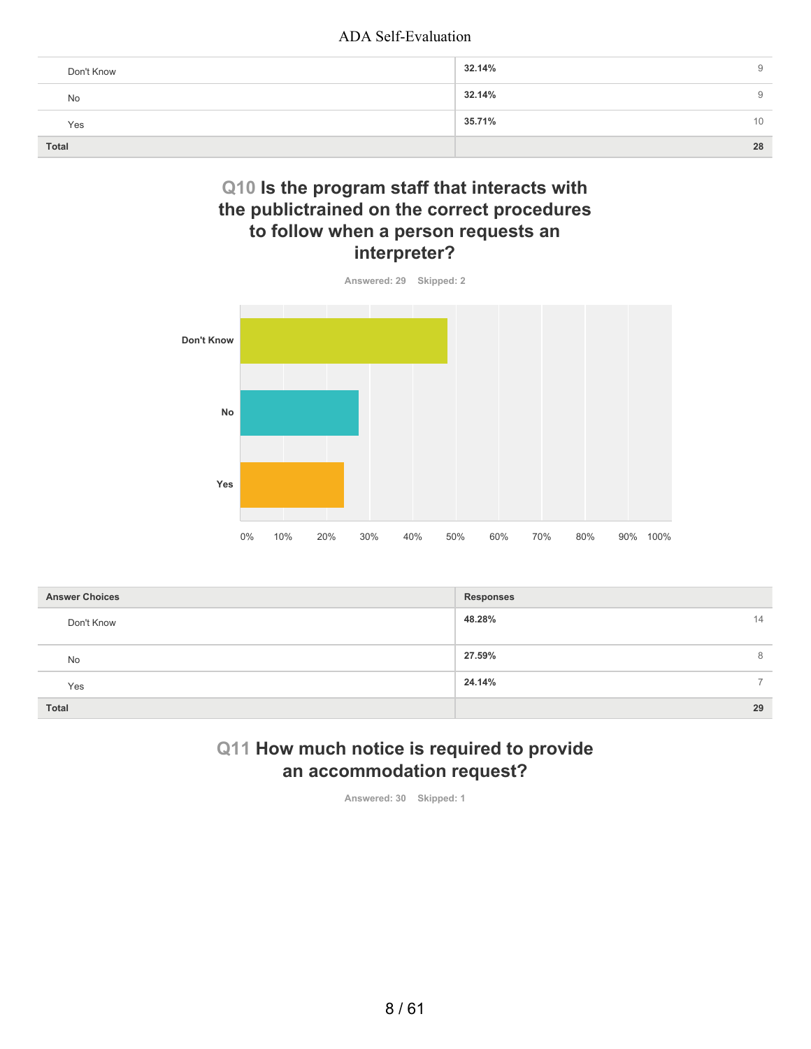| Don't Know | 32.14% | 9  |
|------------|--------|----|
| No         | 32.14% | 9  |
| Yes        | 35.71% | 10 |
| Total      |        | 28 |

## **Q10 Is the program staff that interacts with the publictrained on the correct procedures to follow when a person requests an interpreter?**



| <b>Answer Choices</b> | <b>Responses</b>                   |
|-----------------------|------------------------------------|
| Don't Know            | 48.28%<br>14                       |
| <b>No</b>             | 27.59%<br>8                        |
| Yes                   | 24.14%<br>$\overline{\phantom{0}}$ |
| <b>Total</b>          | 29                                 |

## **Q11 How much notice is required to provide an accommodation request?**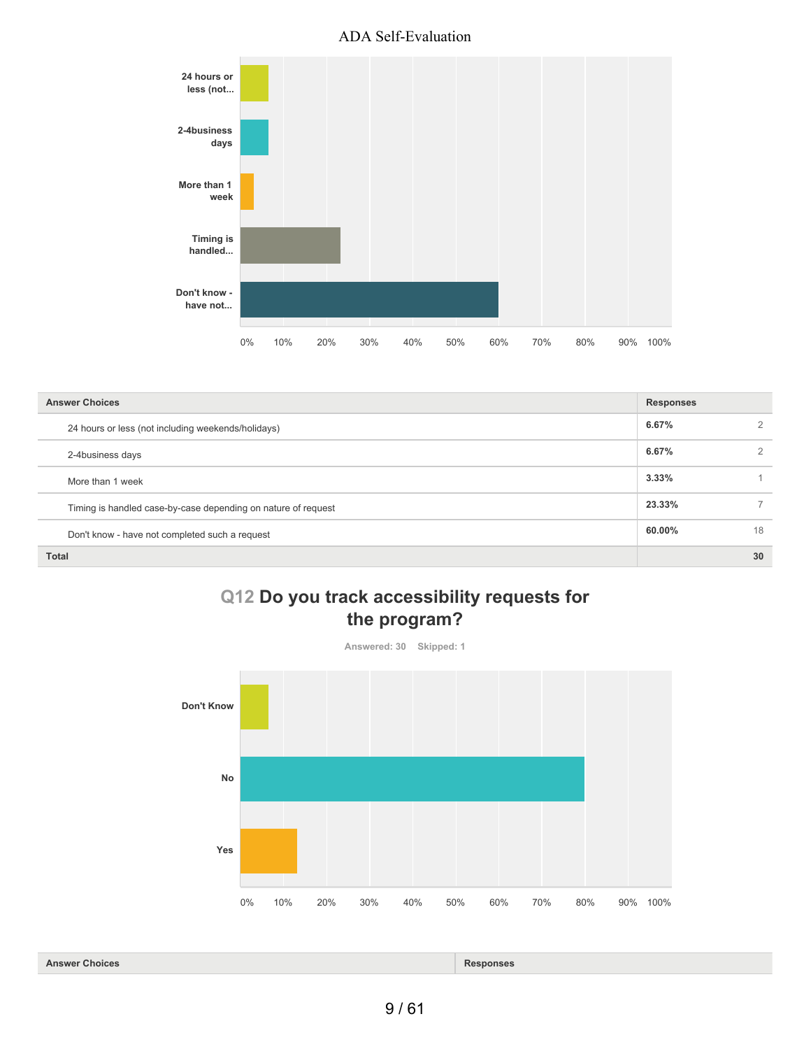

| <b>Answer Choices</b>                                         | <b>Responses</b> |    |
|---------------------------------------------------------------|------------------|----|
| 24 hours or less (not including weekends/holidays)            | 6.67%            | 2  |
| 2-4business days                                              | 6.67%            | 2  |
| More than 1 week                                              | 3.33%            |    |
| Timing is handled case-by-case depending on nature of request | 23.33%           |    |
| Don't know - have not completed such a request                | 60.00%           | 18 |
| <b>Total</b>                                                  |                  | 30 |

# **Q12 Do you track accessibility requests for the program?**



#### **Answer Choices Responses**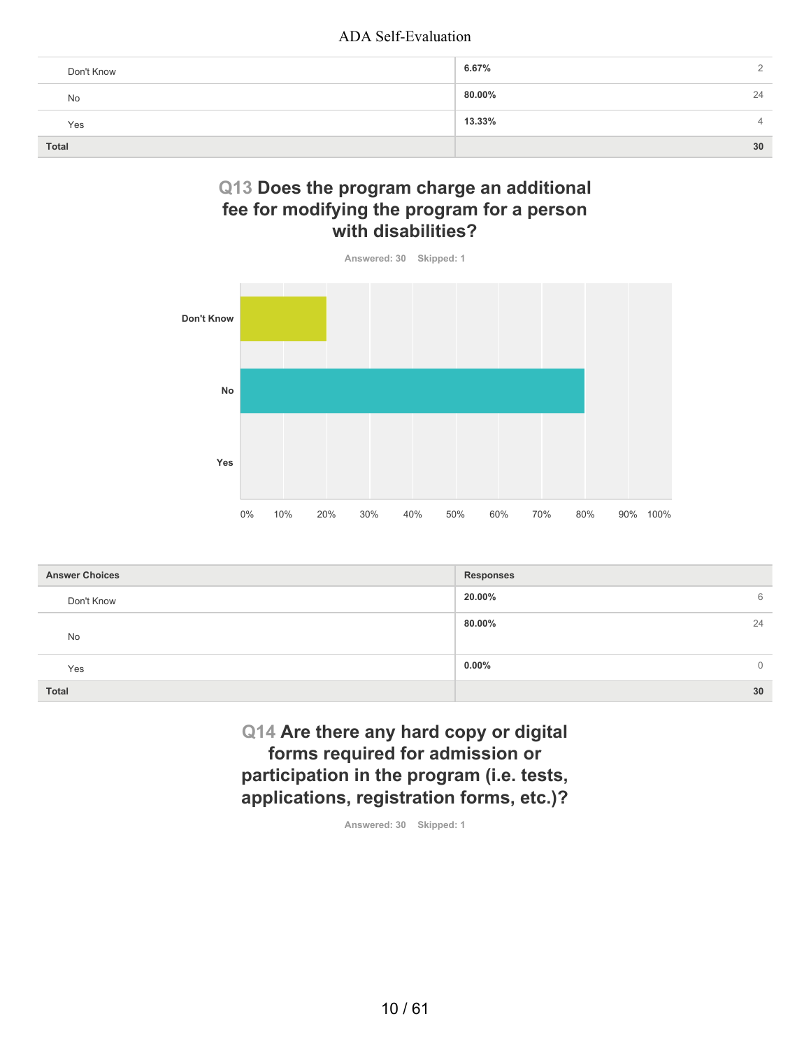| Don't Know | 6.67%                    |
|------------|--------------------------|
| No         | 80.00%<br>24             |
| Yes        | 13.33%<br>$\overline{4}$ |
| Total      | 30                       |

## **Q13 Does the program charge an additional fee for modifying the program for a person with disabilities?**



| <b>Answer Choices</b> | <b>Responses</b>         |
|-----------------------|--------------------------|
| Don't Know            | 20.00%<br>6              |
| No                    | 80.00%<br>24             |
| Yes                   | $0.00\%$<br>$\mathbf{0}$ |
| <b>Total</b>          | 30                       |

**Q14 Are there any hard copy or digital forms required for admission or participation in the program (i.e. tests, applications, registration forms, etc.)?**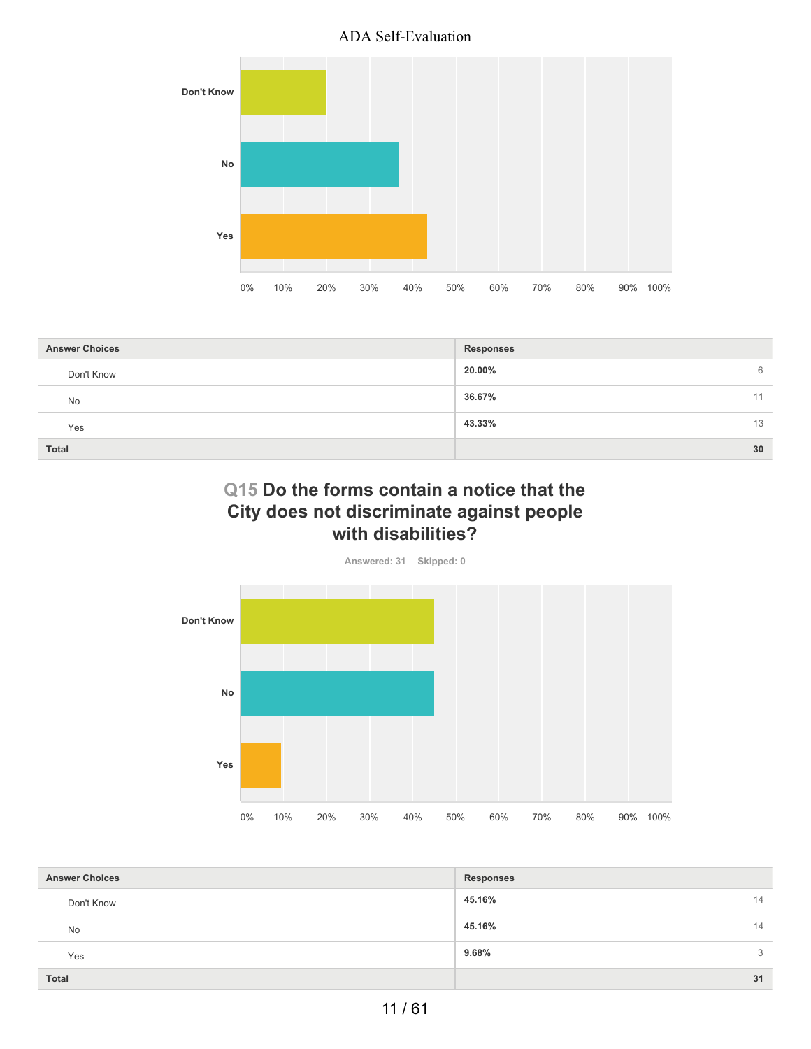

| <b>Answer Choices</b> | <b>Responses</b> |
|-----------------------|------------------|
| Don't Know            | 20.00%<br>6      |
| <b>No</b>             | 36.67%<br>11     |
| Yes                   | 43.33%<br>13     |
| Total                 | 30               |

## **Q15 Do the forms contain a notice that the City does not discriminate against people with disabilities?**



| <b>Answer Choices</b> | <b>Responses</b> |    |
|-----------------------|------------------|----|
|                       |                  |    |
| Don't Know            | 45.16%           | 14 |
| <b>No</b>             | 45.16%           | 14 |
| Yes                   | 9.68%            | 3  |
| <b>Total</b>          |                  | 31 |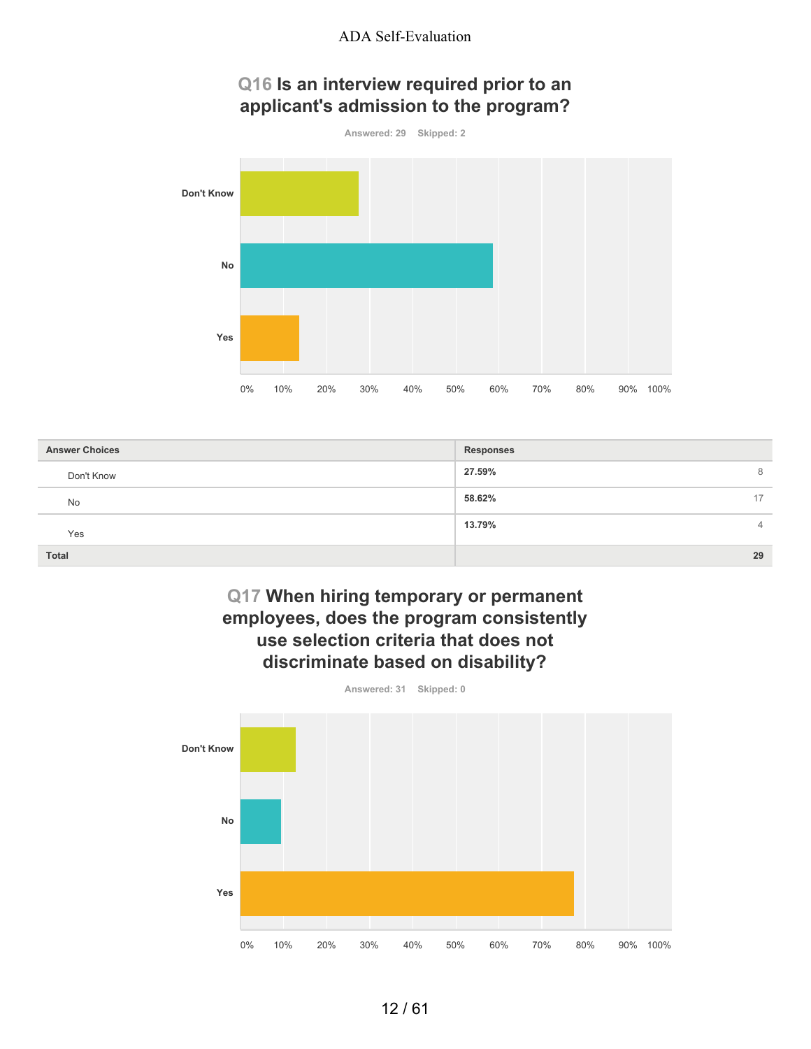# **Q16 Is an interview required prior to an applicant's admission to the program?**



| <b>Answer Choices</b> | <b>Responses</b> |
|-----------------------|------------------|
| Don't Know            | 27.59%<br>8      |
| <b>No</b>             | 58.62%<br>17     |
| Yes                   | 13.79%<br>4      |
| <b>Total</b>          | 29               |

## **Q17 When hiring temporary or permanent employees, does the program consistently use selection criteria that does not discriminate based on disability?**

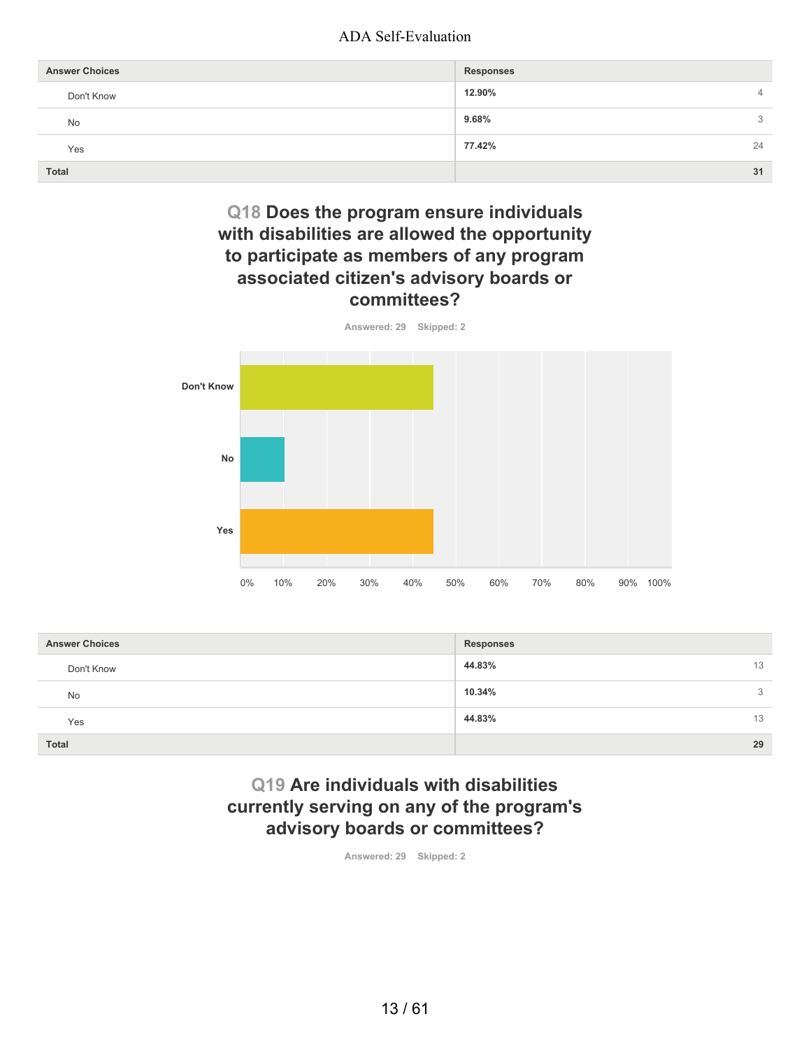| <b>Answer Choices</b> | <b>Responses</b>         |
|-----------------------|--------------------------|
| Don't Know            | 12.90%<br>$\overline{4}$ |
| No                    | 9.68%<br>3               |
| Yes                   | 77.42%<br>24             |
| <b>Total</b>          | 31                       |

# **Q18 Does the program ensure individuals with disabilities are allowed the opportunity to participate as members of any program associated citizen's advisory boards or committees?**



| <b>Answer Choices</b> | <b>Responses</b> |
|-----------------------|------------------|
| Don't Know            | 44.83%<br>13     |
| <b>No</b>             | 10.34%<br>3      |
| Yes                   | 44.83%<br>13     |
| <b>Total</b>          | 29               |

## **Q19 Are individuals with disabilities currently serving on any of the program's advisory boards or committees?**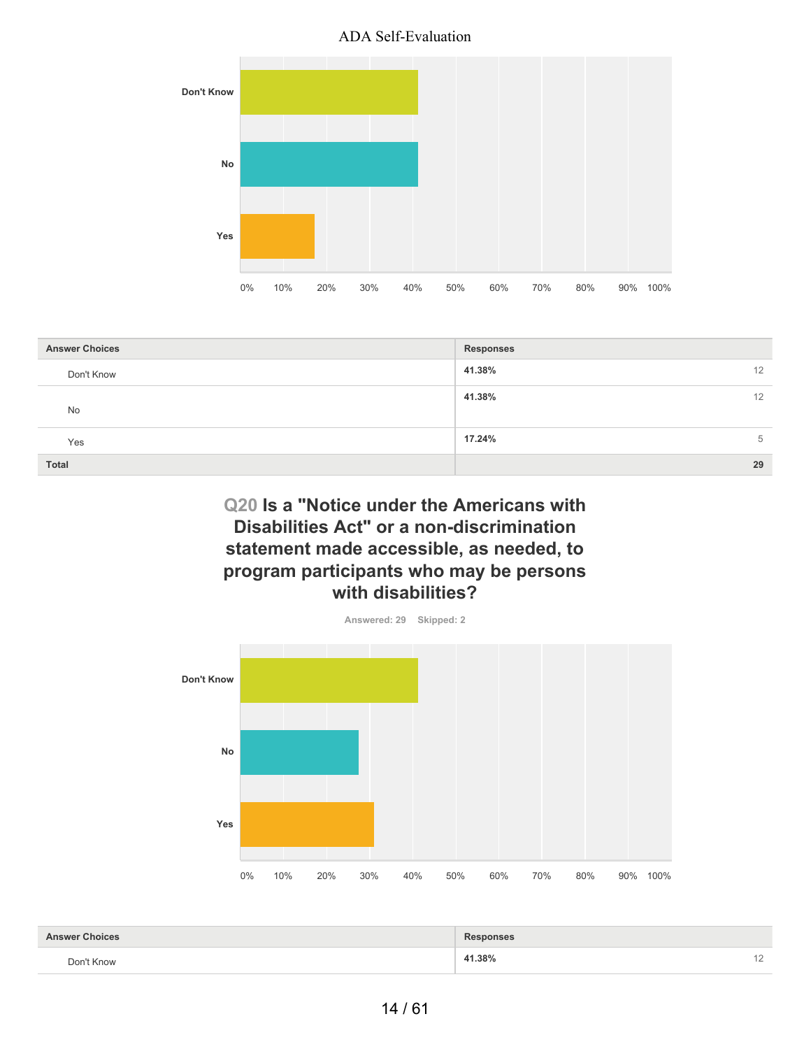

| <b>Answer Choices</b> | <b>Responses</b> |
|-----------------------|------------------|
| Don't Know            | 41.38%<br>12     |
| No                    | 41.38%<br>12     |
| Yes                   | 17.24%<br>5      |
| <b>Total</b>          | 29               |

# **Q20 Is a "Notice under the Americans with Disabilities Act" or a non-discrimination statement made accessible, as needed, to program participants who may be persons with disabilities?**



**41.38%** 12 **Answer Choices Responses Responses** Don't Know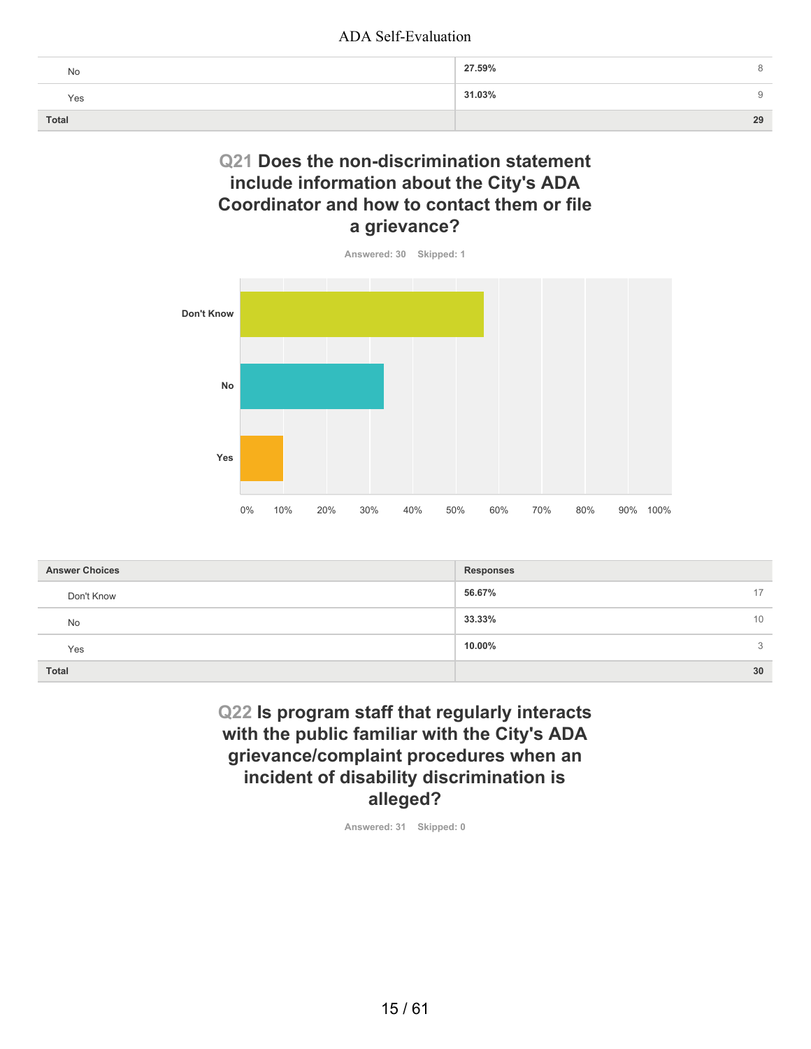| No    | 27.59% |
|-------|--------|
| Yes   | 31.03% |
| Total | 29     |

## **Q21 Does the non-discrimination statement include information about the City's ADA Coordinator and how to contact them or file a grievance?**



| <b>Answer Choices</b> | <b>Responses</b> |
|-----------------------|------------------|
| Don't Know            | 56.67%<br>17     |
| <b>No</b>             | 33.33%<br>10     |
| Yes                   | 10.00%<br>3      |
| <b>Total</b>          | 30               |

# **Q22 Is program staff that regularly interacts with the public familiar with the City's ADA grievance/complaint procedures when an incident of disability discrimination is alleged?**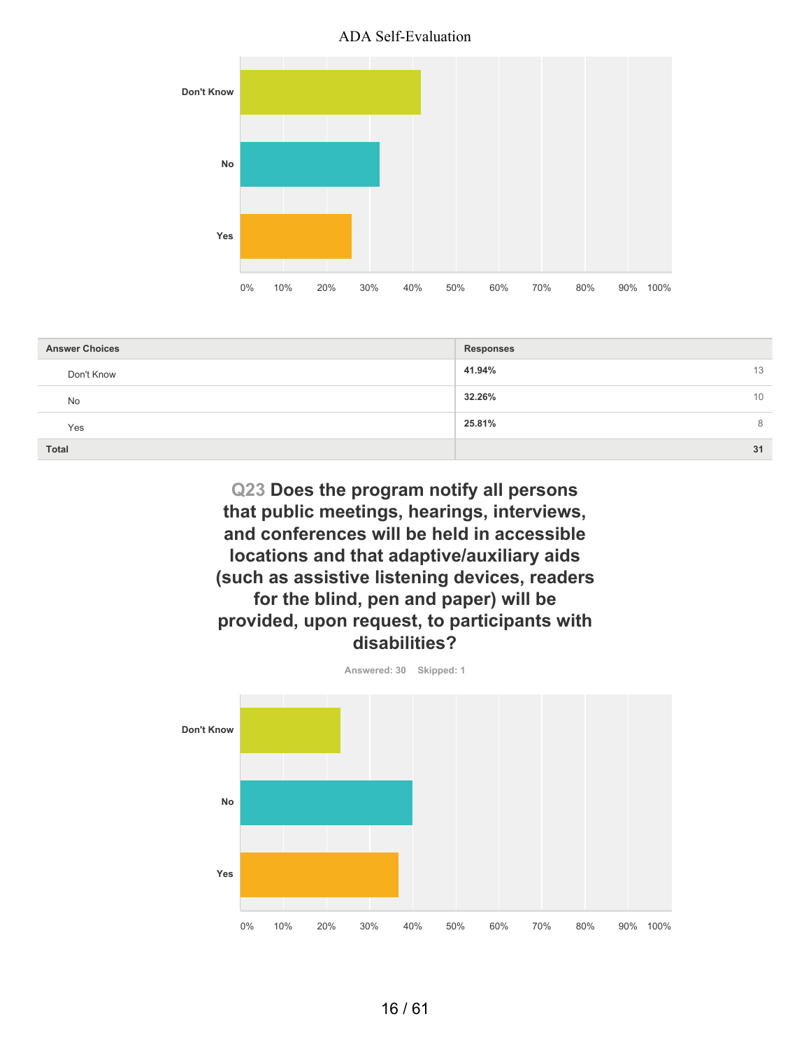

| <b>Answer Choices</b> | <b>Responses</b> |
|-----------------------|------------------|
| Don't Know            | 41.94%<br>13     |
| <b>No</b>             | 32.26%<br>10     |
| Yes                   | 25.81%<br>8      |
| <b>Total</b>          | 31               |

**Q23 Does the program notify all persons that public meetings, hearings, interviews, and conferences will be held in accessible locations and that adaptive/auxiliary aids (such as assistive listening devices, readers for the blind, pen and paper) will be provided, upon request, to participants with disabilities?**

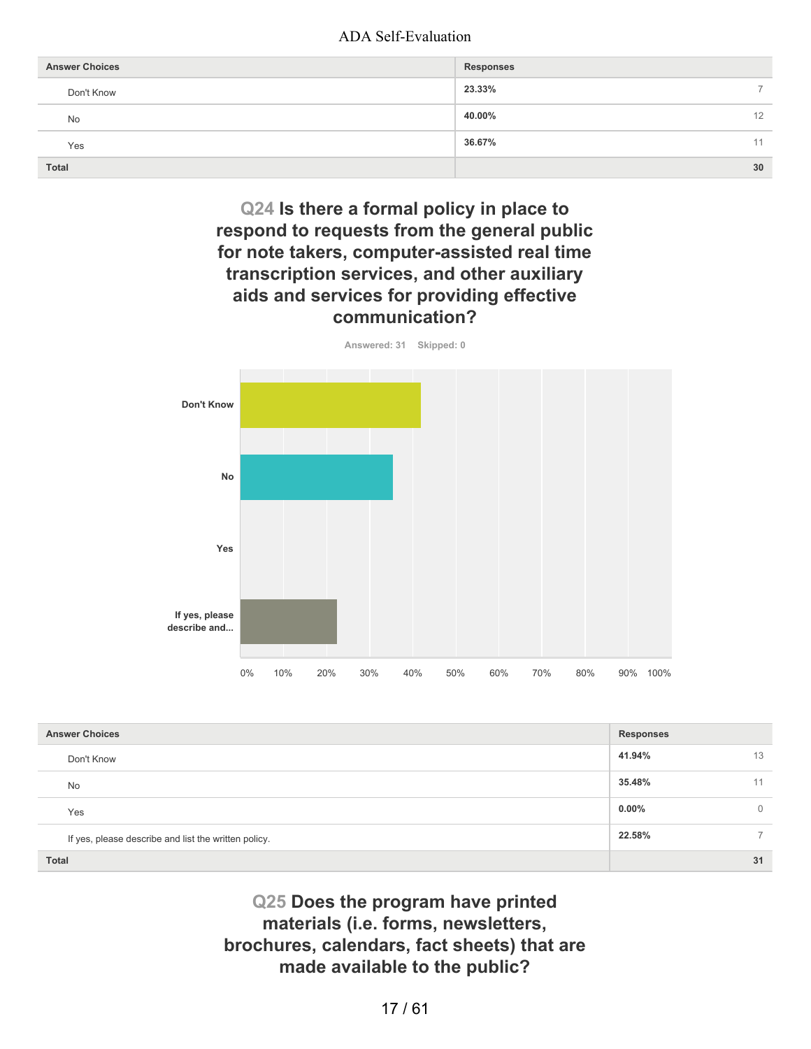| <b>Answer Choices</b> | <b>Responses</b>         |
|-----------------------|--------------------------|
| Don't Know            | 23.33%<br>$\overline{ }$ |
| No                    | 40.00%<br>12             |
| Yes                   | 36.67%<br>11             |
| <b>Total</b>          | 30                       |

**Q24 Is there a formal policy in place to respond to requests from the general public for note takers, computer-assisted real time transcription services, and other auxiliary aids and services for providing effective communication?**



| <b>Answer Choices</b>                                | <b>Responses</b> |              |
|------------------------------------------------------|------------------|--------------|
| Don't Know                                           | 41.94%           | 13           |
| No                                                   | 35.48%           | 11           |
| Yes                                                  | $0.00\%$         | $\mathbf{0}$ |
| If yes, please describe and list the written policy. | 22.58%           |              |
| <b>Total</b>                                         |                  | 31           |

**Q25 Does the program have printed materials (i.e. forms, newsletters, brochures, calendars, fact sheets) that are made available to the public?**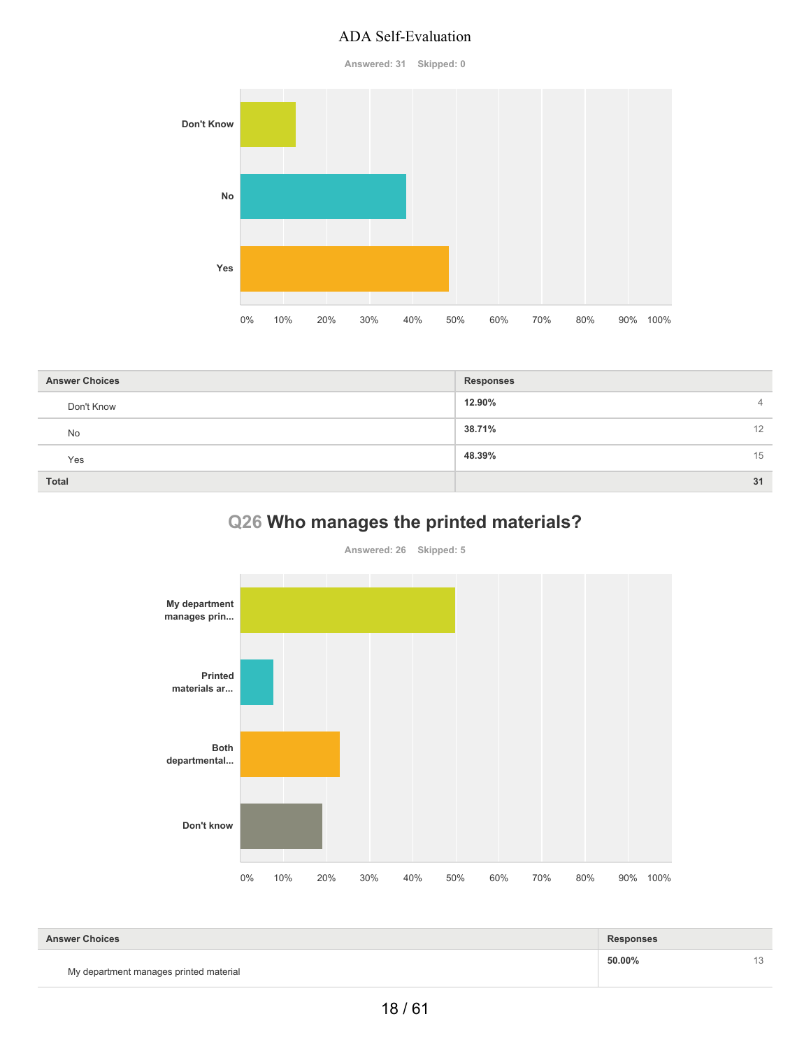**Answered: 31 Skipped: 0**



| <b>Answer Choices</b> | <b>Responses</b>         |
|-----------------------|--------------------------|
| Don't Know            | 12.90%<br>$\overline{4}$ |
| No                    | 38.71%<br>12             |
| Yes                   | 48.39%<br>15             |
| <b>Total</b>          | 31                       |

# **Q26 Who manages the printed materials?**

**Answered: 26 Skipped: 5**



| <b>Answer Choices</b>                  | <b>Responses</b> |  |
|----------------------------------------|------------------|--|
| My department manages printed material | 50.00%           |  |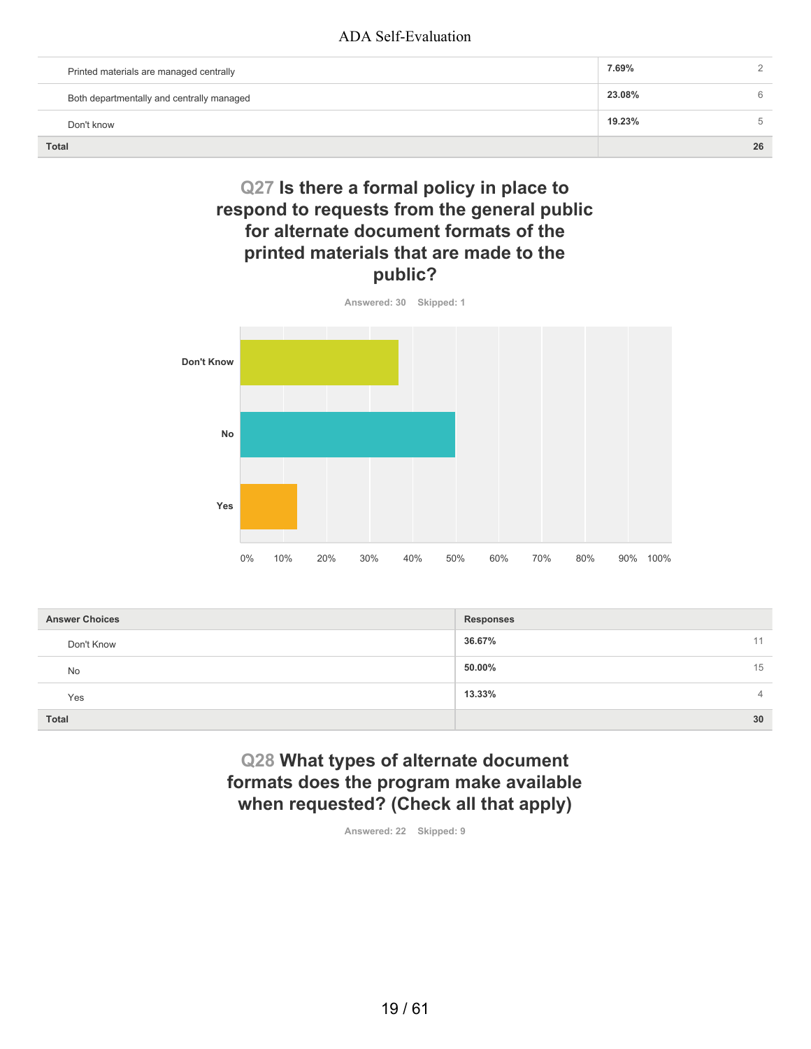| Printed materials are managed centrally   | 7.69%  | $\sim$ |
|-------------------------------------------|--------|--------|
| Both departmentally and centrally managed | 23.08% | 6      |
| Don't know                                | 19.23% | 5      |
| <b>Total</b>                              |        | 26     |

# **Q27 Is there a formal policy in place to respond to requests from the general public for alternate document formats of the printed materials that are made to the public?**



| <b>Answer Choices</b> | <b>Responses</b>         |
|-----------------------|--------------------------|
| Don't Know            | 36.67%<br>11             |
| <b>No</b>             | 15<br>50.00%             |
| Yes                   | 13.33%<br>$\overline{4}$ |
| Total                 | 30                       |

# **Q28 What types of alternate document formats does the program make available when requested? (Check all that apply)**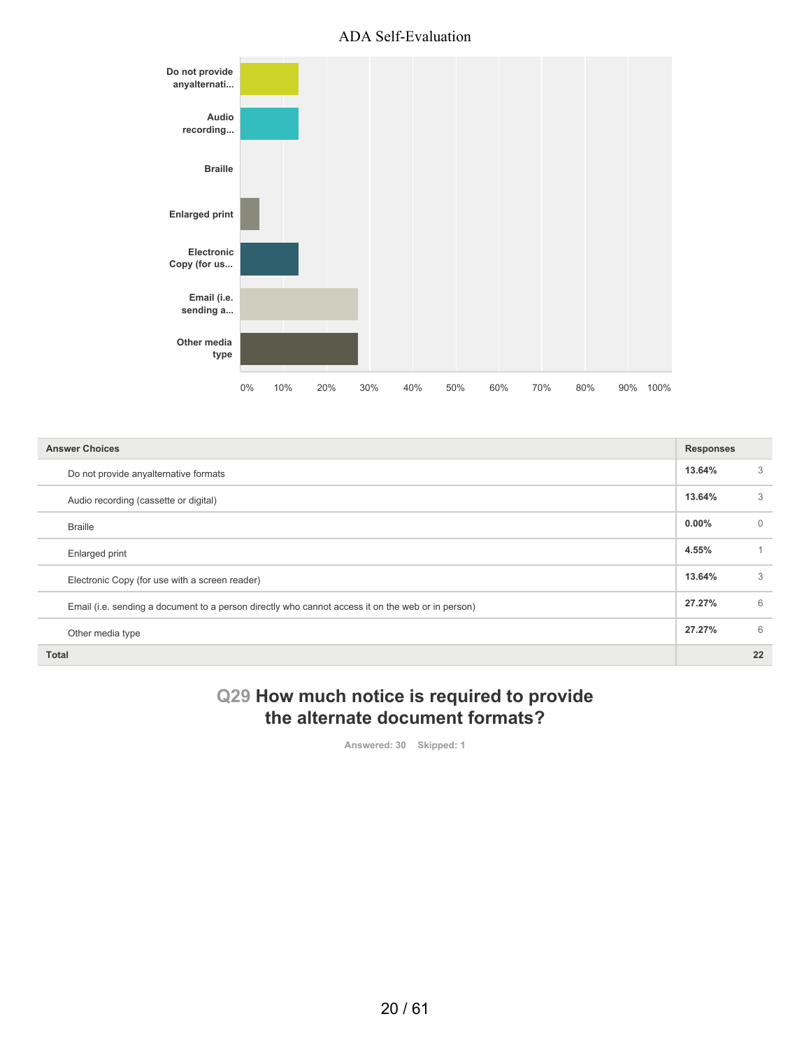

| <b>Answer Choices</b>                                                                             | <b>Responses</b> |          |
|---------------------------------------------------------------------------------------------------|------------------|----------|
| Do not provide anyalternative formats                                                             | 13.64%           | 3        |
| Audio recording (cassette or digital)                                                             | 13.64%           | 3        |
| <b>Braille</b>                                                                                    | $0.00\%$         | $\Omega$ |
| Enlarged print                                                                                    | 4.55%            |          |
| Electronic Copy (for use with a screen reader)                                                    | 13.64%           | 3        |
| Email (i.e. sending a document to a person directly who cannot access it on the web or in person) | 27.27%           | 6        |
| Other media type                                                                                  | 27.27%           | 6        |
| <b>Total</b>                                                                                      |                  | 22       |

# **Q29 How much notice is required to provide the alternate document formats?**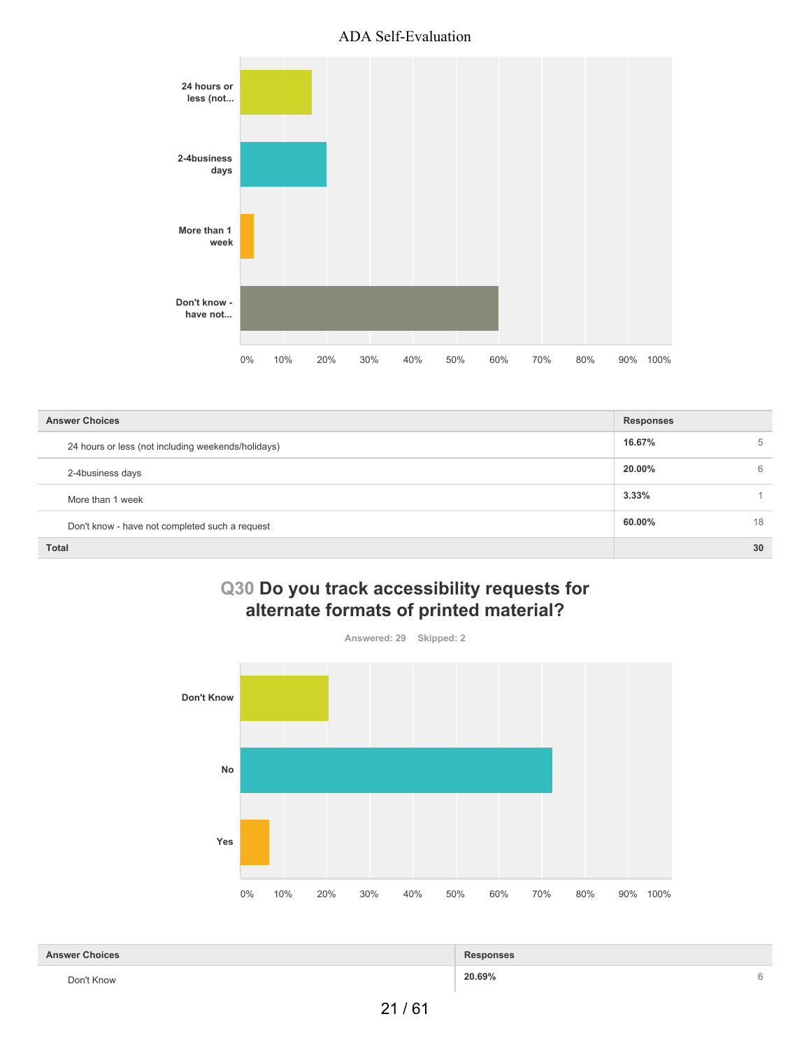

| <b>Answer Choices</b>                              | <b>Responses</b> |    |
|----------------------------------------------------|------------------|----|
| 24 hours or less (not including weekends/holidays) | 16.67%           | 5  |
| 2-4business days                                   | 20.00%           | 6  |
| More than 1 week                                   | $3.33\%$         |    |
| Don't know - have not completed such a request     | 60.00%           | 18 |
| <b>Total</b>                                       |                  | 30 |

# **Q30 Do you track accessibility requests for alternate formats of printed material?**



| <b>Answer Choices</b>                                                                         | <b>Responses</b> |  |
|-----------------------------------------------------------------------------------------------|------------------|--|
| Don't Know<br>the contract of the contract of the contract of the contract of the contract of | 20.69%           |  |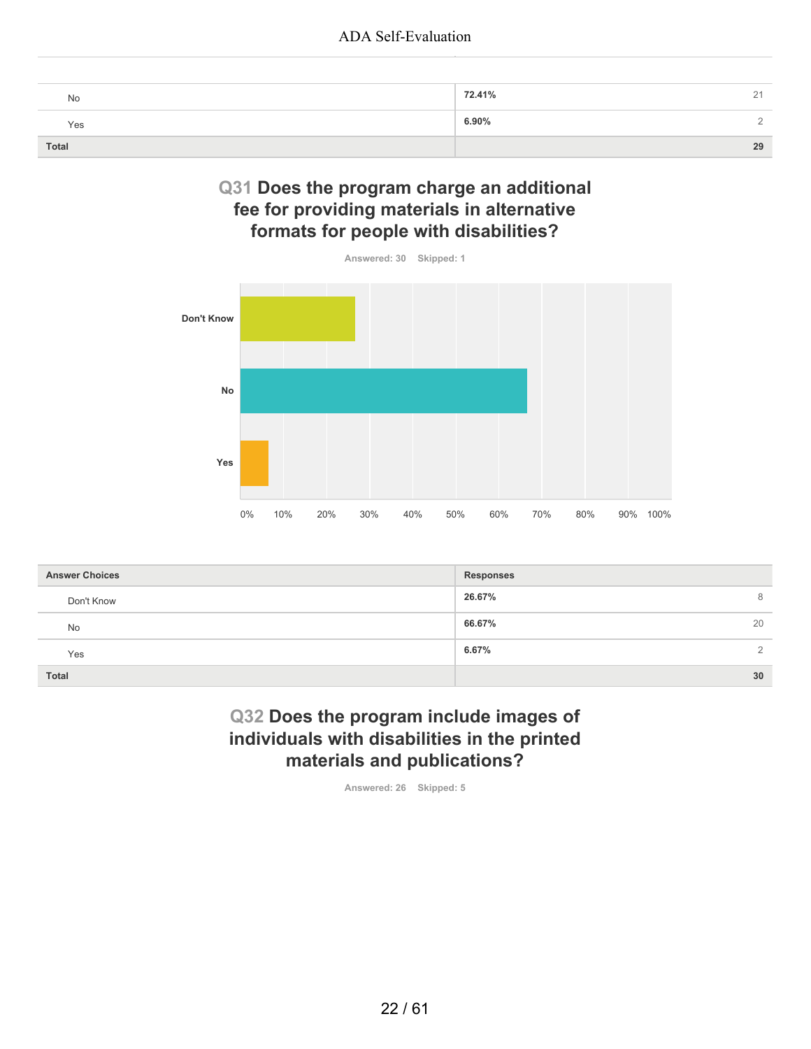| No    | 72.41%<br>$\sim$ |
|-------|------------------|
| Yes   | 6.90%            |
| Total | 29               |

## **Q31 Does the program charge an additional fee for providing materials in alternative formats for people with disabilities?**



| <b>Answer Choices</b> | <b>Responses</b>  |
|-----------------------|-------------------|
| Don't Know            | 26.67%<br>8       |
| <b>No</b>             | 66.67%<br>20      |
| Yes                   | 6.67%<br>$\Omega$ |
| <b>Total</b>          | 30                |

# **Q32 Does the program include images of individuals with disabilities in the printed materials and publications?**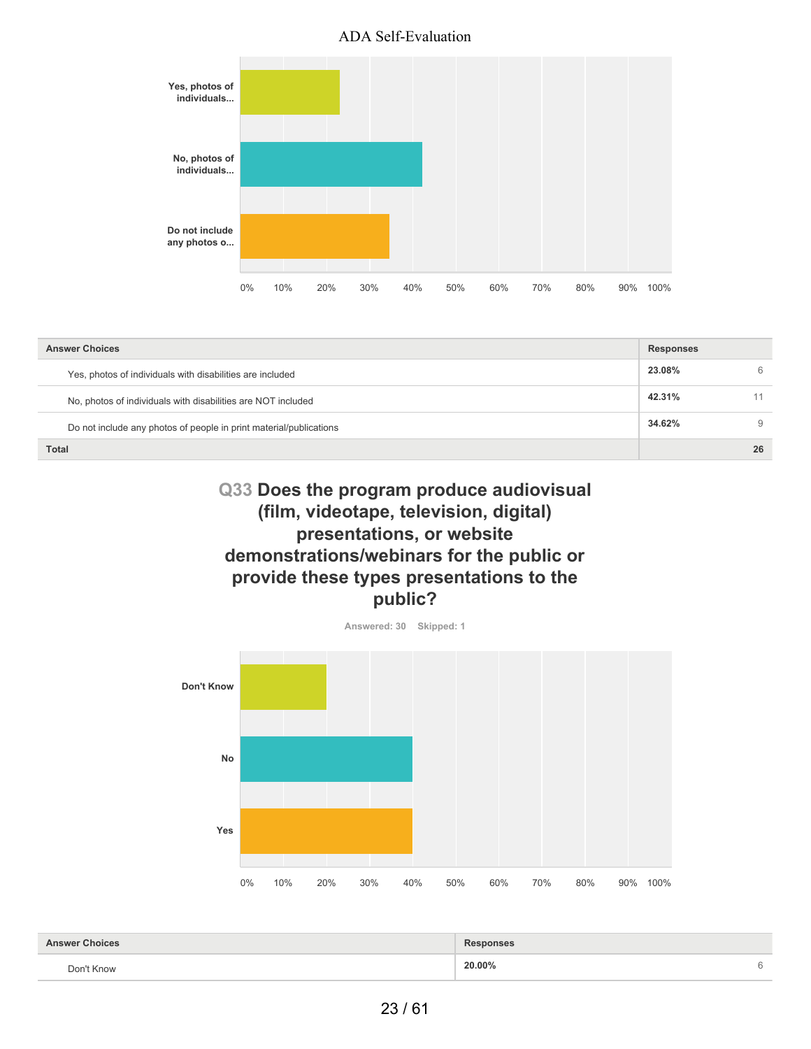

| <b>Answer Choices</b>                                              | <b>Responses</b> |    |
|--------------------------------------------------------------------|------------------|----|
| Yes, photos of individuals with disabilities are included          | 23.08%           | 6  |
| No, photos of individuals with disabilities are NOT included       | 42.31%           |    |
| Do not include any photos of people in print material/publications | 34.62%           | 9  |
| <b>Total</b>                                                       |                  | 26 |

# **Q33 Does the program produce audiovisual (film, videotape, television, digital) presentations, or website demonstrations/webinars for the public or provide these types presentations to the public?**



| <b>Answer Choices</b> | <b>Responses</b> |   |
|-----------------------|------------------|---|
| Don't Know            | 20.00%<br>.      | c |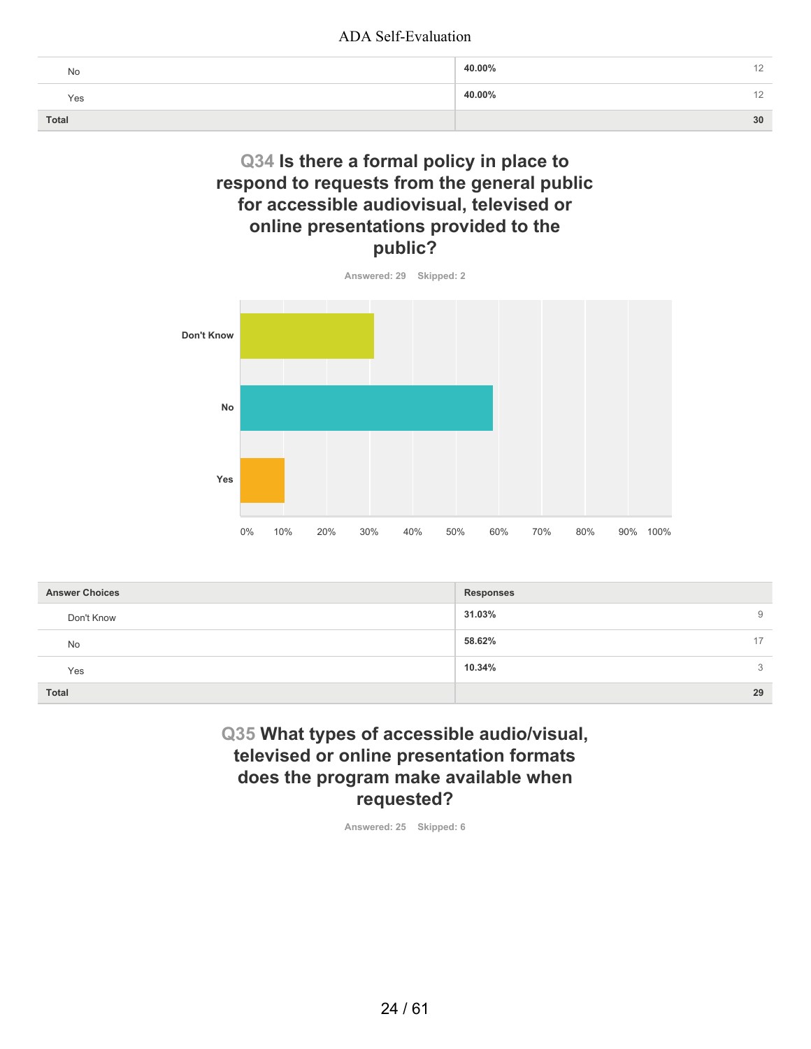| No    | 40.00%<br>$\sim$ |
|-------|------------------|
| Yes   | 40.00%<br>' 4    |
| Total | 30               |

# **Q34 Is there a formal policy in place to respond to requests from the general public for accessible audiovisual, televised or online presentations provided to the public?**



**Answered: 29 Skipped: 2**

| <b>Answer Choices</b> | <b>Responses</b> |
|-----------------------|------------------|
| Don't Know            | 31.03%<br>9      |
| No                    | 58.62%<br>17     |
| Yes                   | 10.34%<br>3      |
| <b>Total</b>          | 29               |

## **Q35 What types of accessible audio/visual, televised or online presentation formats does the program make available when requested?**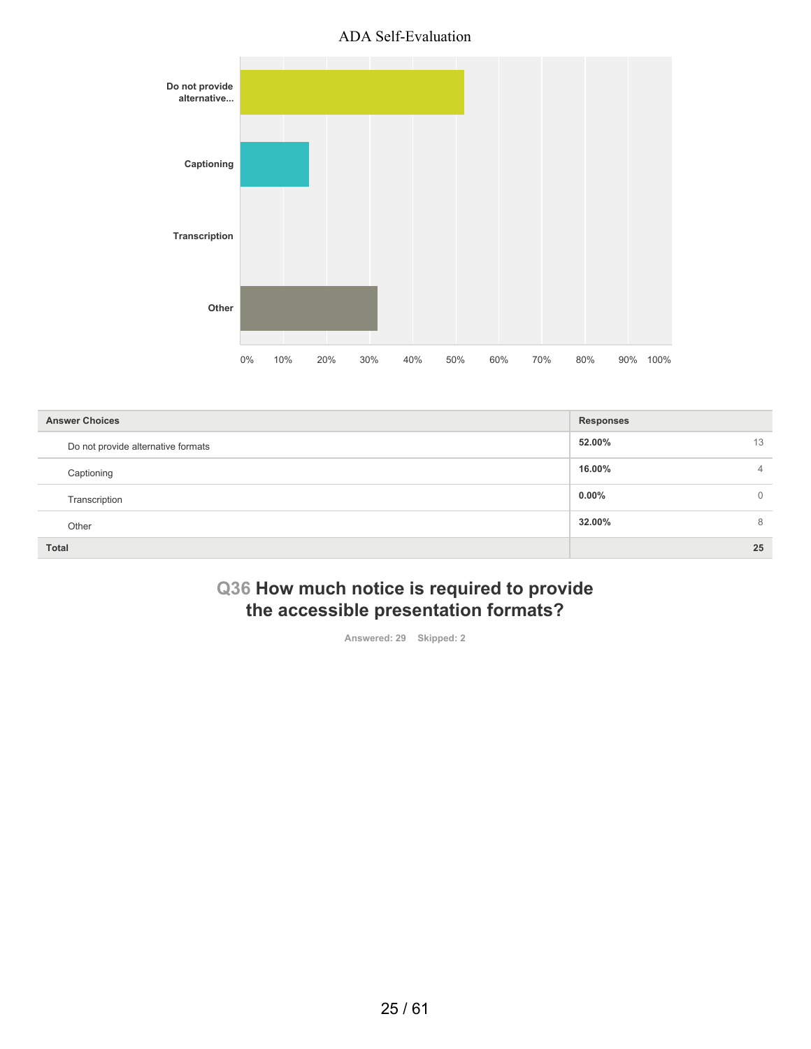

| <b>Answer Choices</b>              | <b>Responses</b> |          |
|------------------------------------|------------------|----------|
| Do not provide alternative formats | 52.00%           | 13       |
| Captioning                         | 16.00%           | 4        |
| Transcription                      | $0.00\%$         | $\Omega$ |
| Other                              | 32.00%           | 8        |
| <b>Total</b>                       |                  | 25       |

# **Q36 How much notice is required to provide the accessible presentation formats?**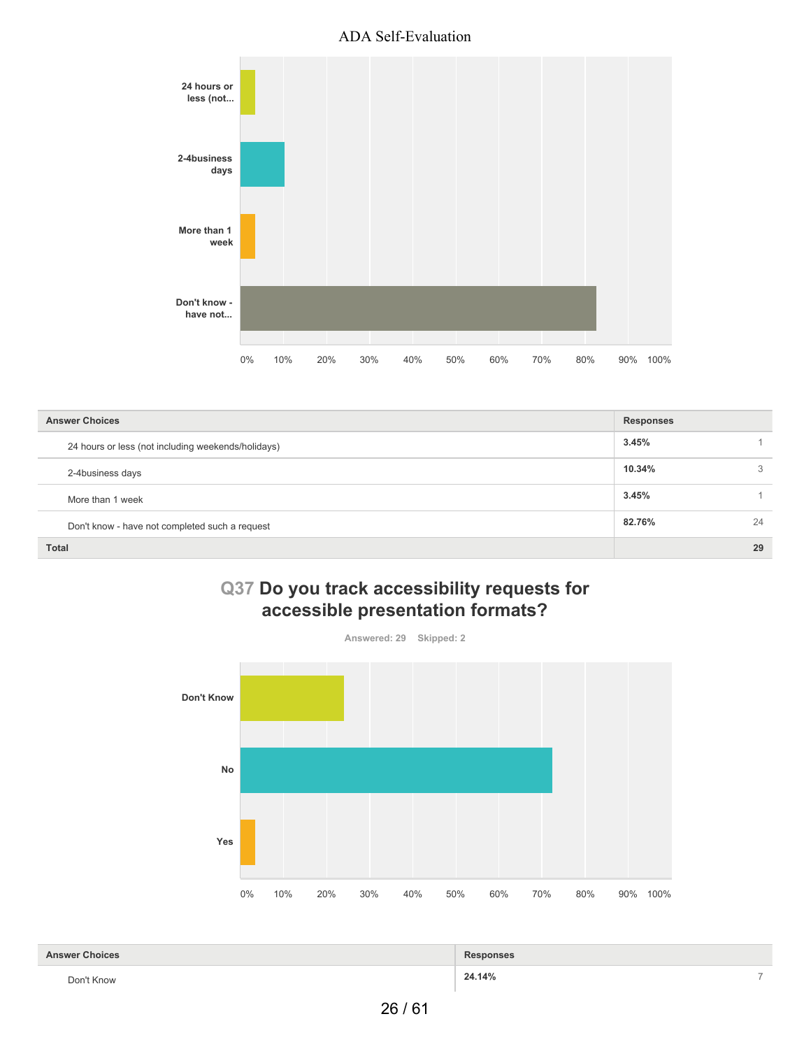

| <b>Answer Choices</b>                              | <b>Responses</b> |    |
|----------------------------------------------------|------------------|----|
| 24 hours or less (not including weekends/holidays) | 3.45%            |    |
| 2-4business days                                   | 10.34%           | 3  |
| More than 1 week                                   | 3.45%            |    |
| Don't know - have not completed such a request     | 82.76%           | 24 |
| <b>Total</b>                                       |                  | 29 |

# **Q37 Do you track accessibility requests for accessible presentation formats?**



| <b>Answer Choices</b>                             | <b>Responses</b> |  |
|---------------------------------------------------|------------------|--|
| Don't Know<br>the contract of the contract of the | 24.14%           |  |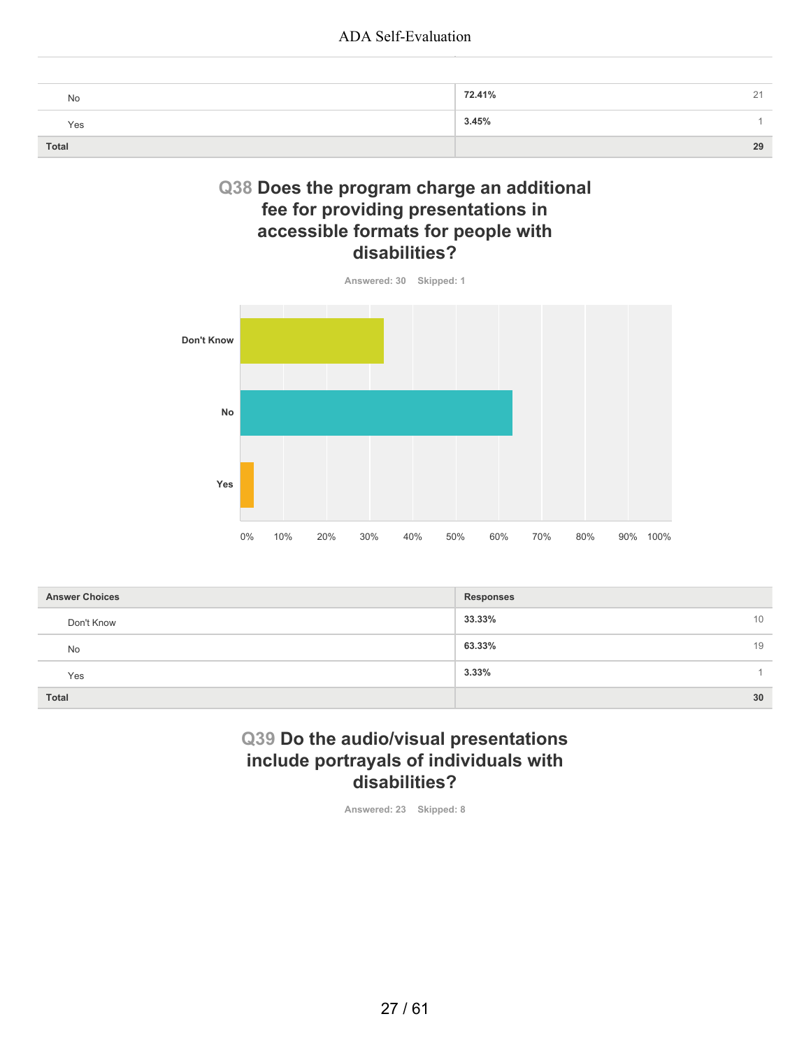| No    | 72.41%<br>$\sim$<br>∼ |
|-------|-----------------------|
| Yes   | 3.45%                 |
| Total | 29                    |

## **Q38 Does the program charge an additional fee for providing presentations in accessible formats for people with disabilities?**



| <b>Answer Choices</b> | <b>Responses</b> |
|-----------------------|------------------|
| Don't Know            | 33.33%<br>10     |
| No                    | 63.33%<br>19     |
| Yes                   | 3.33%            |
| Total                 | 30               |

# **Q39 Do the audio/visual presentations include portrayals of individuals with disabilities?**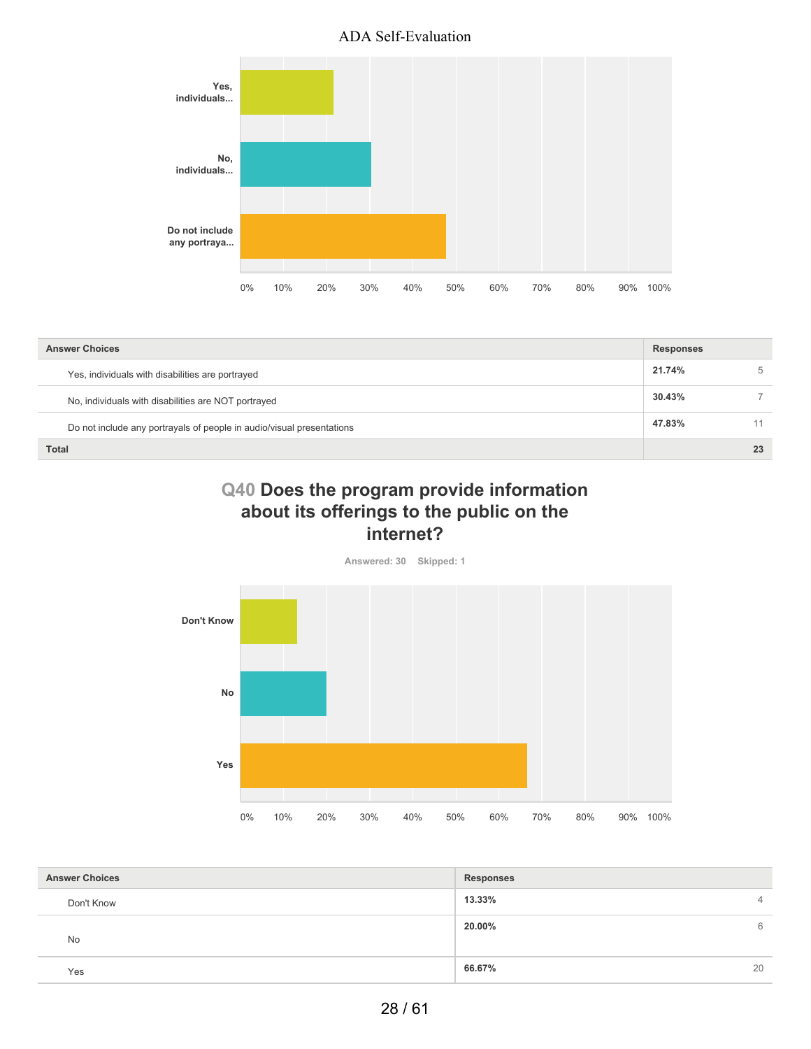

| <b>Answer Choices</b>                                                 | <b>Responses</b> |    |
|-----------------------------------------------------------------------|------------------|----|
| Yes, individuals with disabilities are portrayed                      | 21.74%           | 5  |
| No, individuals with disabilities are NOT portrayed                   | 30.43%           |    |
| Do not include any portrayals of people in audio/visual presentations | 47.83%           | 11 |
| <b>Total</b>                                                          |                  | 23 |

# **Q40 Does the program provide information about its offerings to the public on the internet?**



| <b>Answer Choices</b> | <b>Responses</b> |                |
|-----------------------|------------------|----------------|
| Don't Know            | 13.33%           | $\overline{4}$ |
| <b>No</b>             | 20.00%           | 6              |
| Yes                   | 66.67%           | 20             |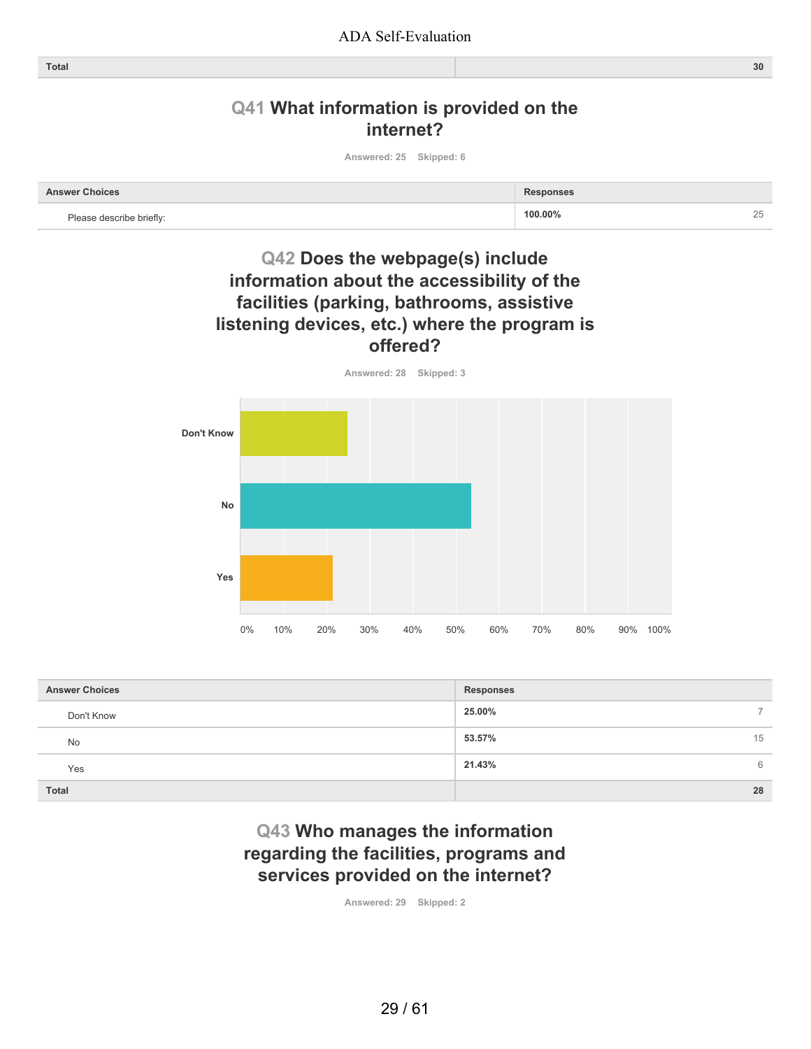# **Q41 What information is provided on the internet?**

**Answered: 25 Skipped: 6**

| Choices |         |   |
|---------|---------|---|
| hrin    | 100,00% | ∸ |

# **Q42 Does the webpage(s) include information about the accessibility of the facilities (parking, bathrooms, assistive listening devices, etc.) where the program is offered?**



| <b>Answer Choices</b> | <b>Responses</b> |    |
|-----------------------|------------------|----|
| Don't Know            | 25.00%           | ⇁  |
| <b>No</b>             | 53.57%           | 15 |
| Yes                   | 21.43%           | 6  |
| <b>Total</b>          |                  | 28 |

# **Q43 Who manages the information regarding the facilities, programs and services provided on the internet?**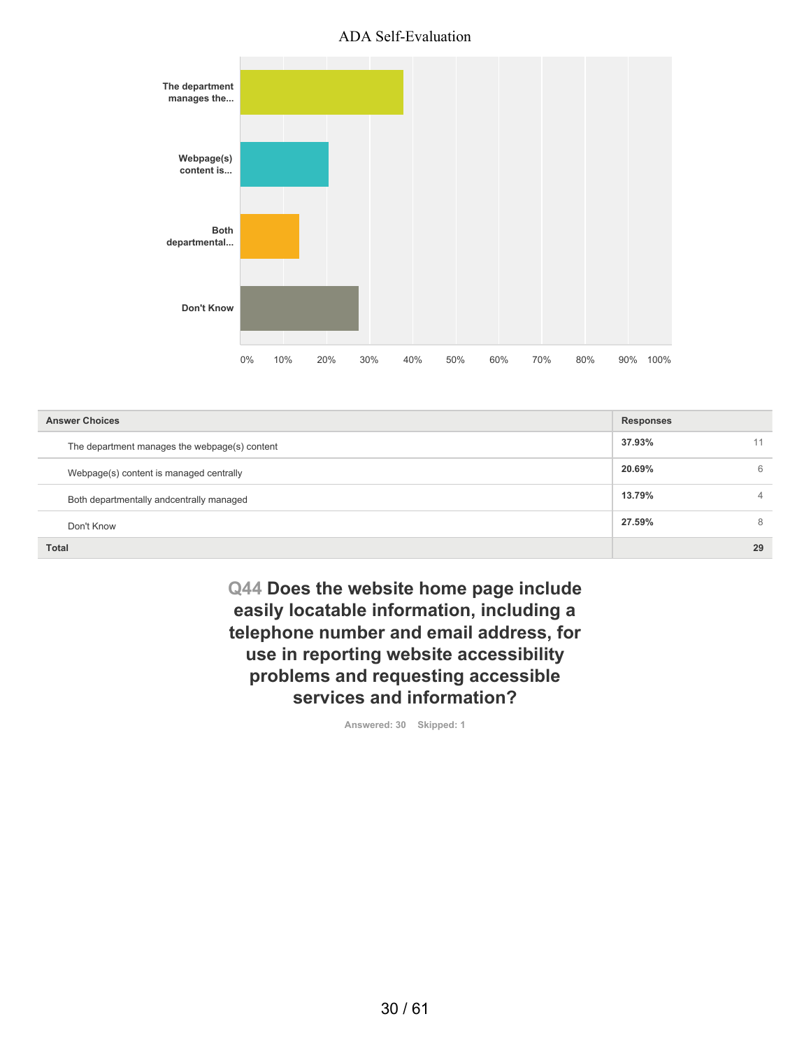

| <b>Answer Choices</b>                         | <b>Responses</b> |    |
|-----------------------------------------------|------------------|----|
| The department manages the webpage(s) content | 37.93%           | 11 |
| Webpage(s) content is managed centrally       | 20.69%           | 6  |
| Both departmentally andcentrally managed      | 13.79%           | 4  |
| Don't Know                                    | 27.59%           | 8  |
| <b>Total</b>                                  |                  | 29 |

**Q44 Does the website home page include easily locatable information, including a telephone number and email address, for use in reporting website accessibility problems and requesting accessible services and information?**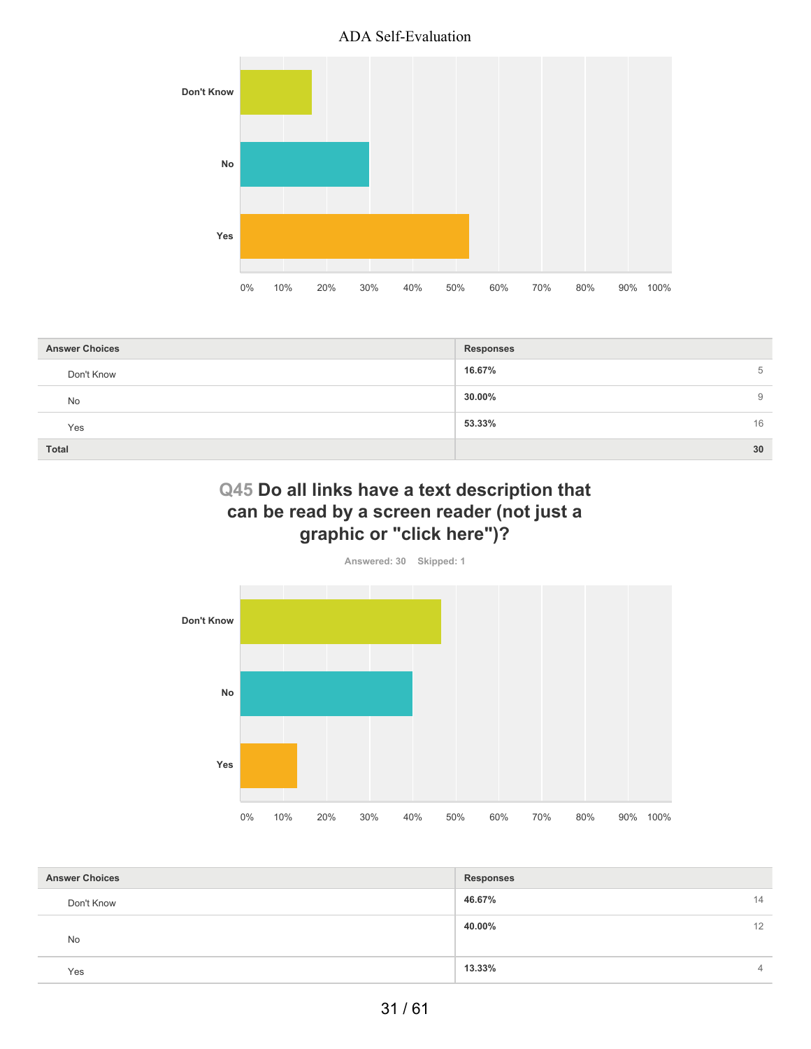

| <b>Answer Choices</b> | <b>Responses</b> |
|-----------------------|------------------|
| Don't Know            | 16.67%<br>5      |
| <b>No</b>             | 30.00%<br>9      |
| Yes                   | 53.33%<br>16     |
| <b>Total</b>          | 30               |

# **Q45 Do all links have a text description that can be read by a screen reader (not just a graphic or "click here")?**



| <b>Answer Choices</b> | <b>Responses</b> |                |
|-----------------------|------------------|----------------|
| Don't Know            | 46.67%           | 14             |
| <b>No</b>             | 40.00%           | 12             |
| Yes                   | 13.33%           | $\overline{4}$ |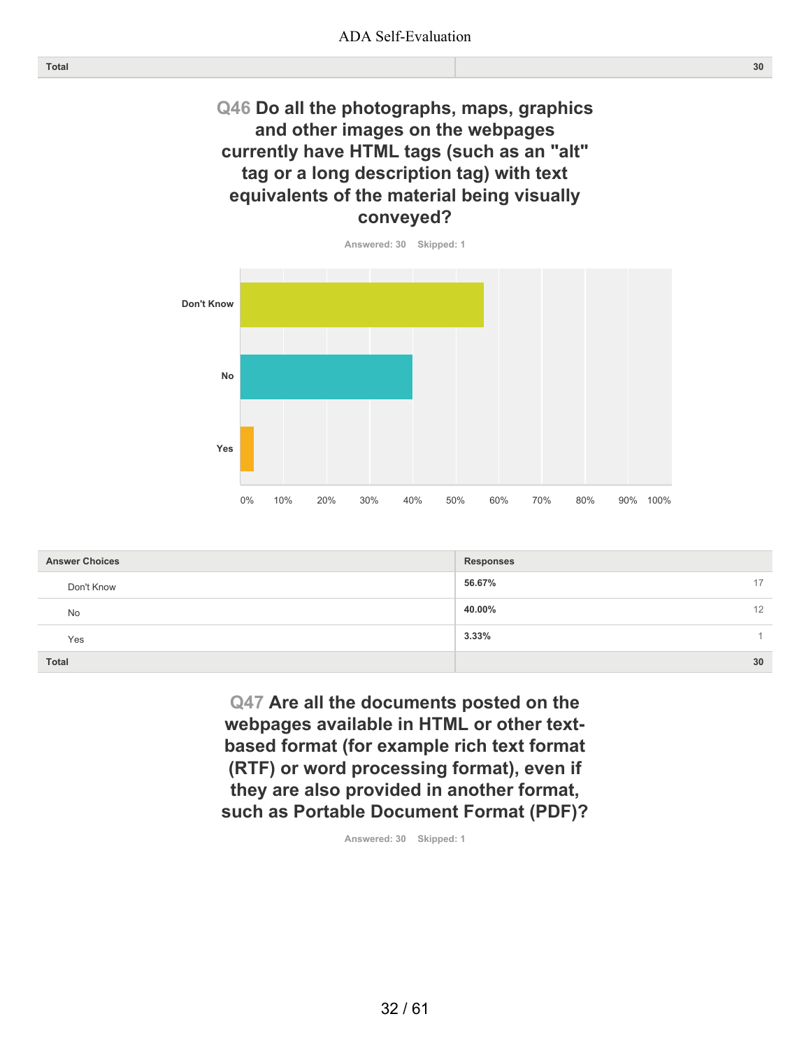# **Q46 Do all the photographs, maps, graphics and other images on the webpages currently have HTML tags (such as an "alt" tag or a long description tag) with text equivalents of the material being visually conveyed?**



| <b>Answer Choices</b> | <b>Responses</b> |
|-----------------------|------------------|
| Don't Know            | 56.67%<br>17     |
| <b>No</b>             | 40.00%<br>12     |
| Yes                   | 3.33%            |
| <b>Total</b>          | 30               |

**Q47 Are all the documents posted on the webpages available in HTML or other textbased format (for example rich text format (RTF) or word processing format), even if they are also provided in another format, such as Portable Document Format (PDF)?**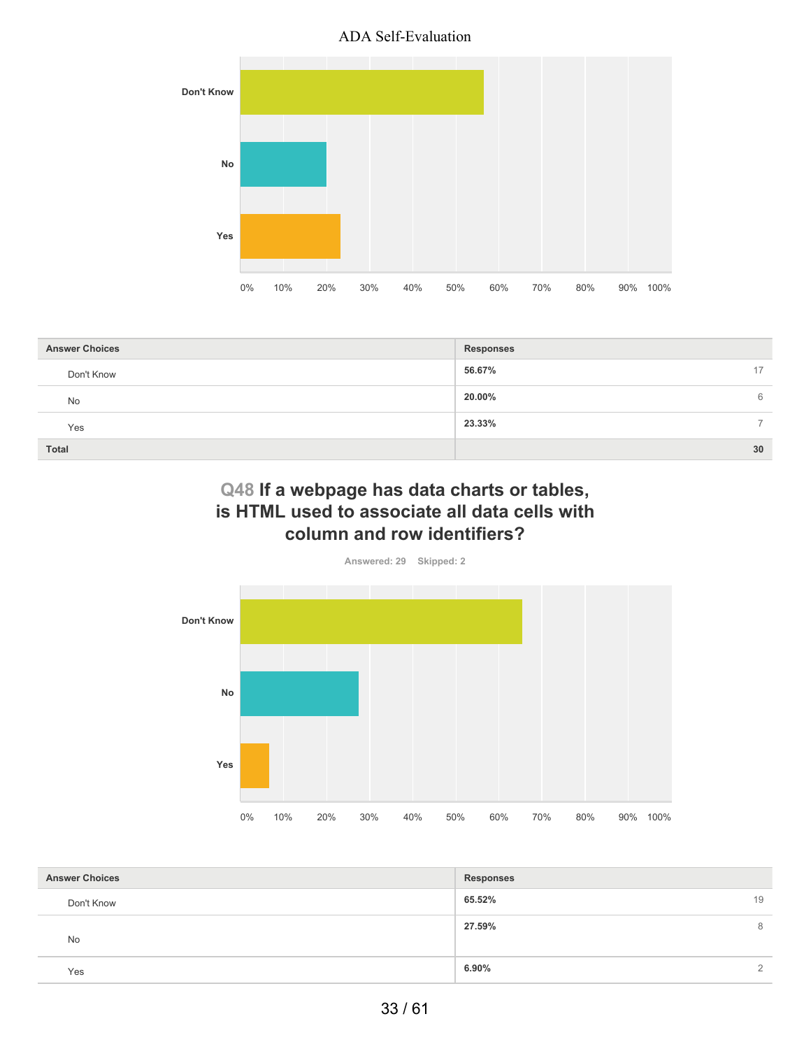

| <b>Answer Choices</b> | <b>Responses</b>        |
|-----------------------|-------------------------|
| Don't Know            | 56.67%<br>17            |
| <b>No</b>             | 20.00%<br>6             |
| Yes                   | 23.33%<br>$\rightarrow$ |
| <b>Total</b>          | 30                      |

# **Q48 If a webpage has data charts or tables, is HTML used to associate all data cells with column and row identifiers?**



| <b>Answer Choices</b> | <b>Responses</b> |               |
|-----------------------|------------------|---------------|
| Don't Know            | 65.52%           | 19            |
| No                    | 27.59%           | 8             |
| Yes                   | 6.90%            | $\mathcal{L}$ |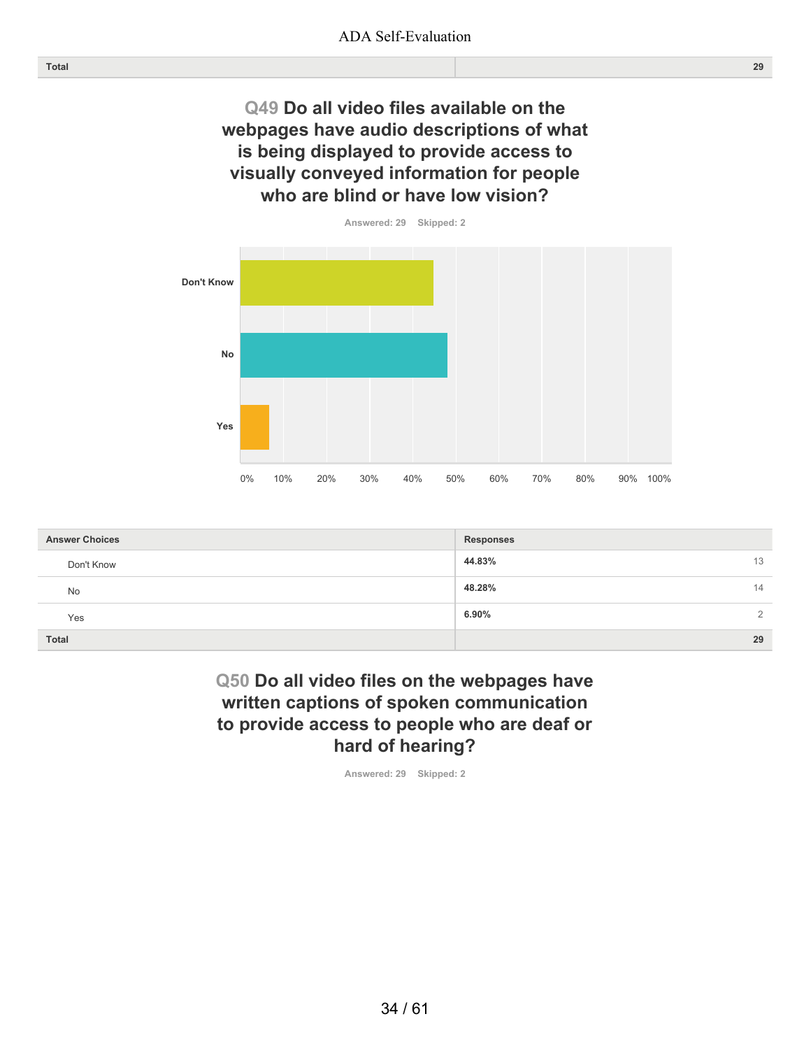# **Q49 Do all video files available on the webpages have audio descriptions of what is being displayed to provide access to visually conveyed information for people who are blind or have low vision?**



| <b>Answer Choices</b> | <b>Responses</b>        |
|-----------------------|-------------------------|
| Don't Know            | 44.83%<br>13            |
| No                    | 48.28%<br>14            |
| Yes                   | 6.90%<br>$\overline{2}$ |
| <b>Total</b>          | 29                      |

## **Q50 Do all video files on the webpages have written captions of spoken communication to provide access to people who are deaf or hard of hearing?**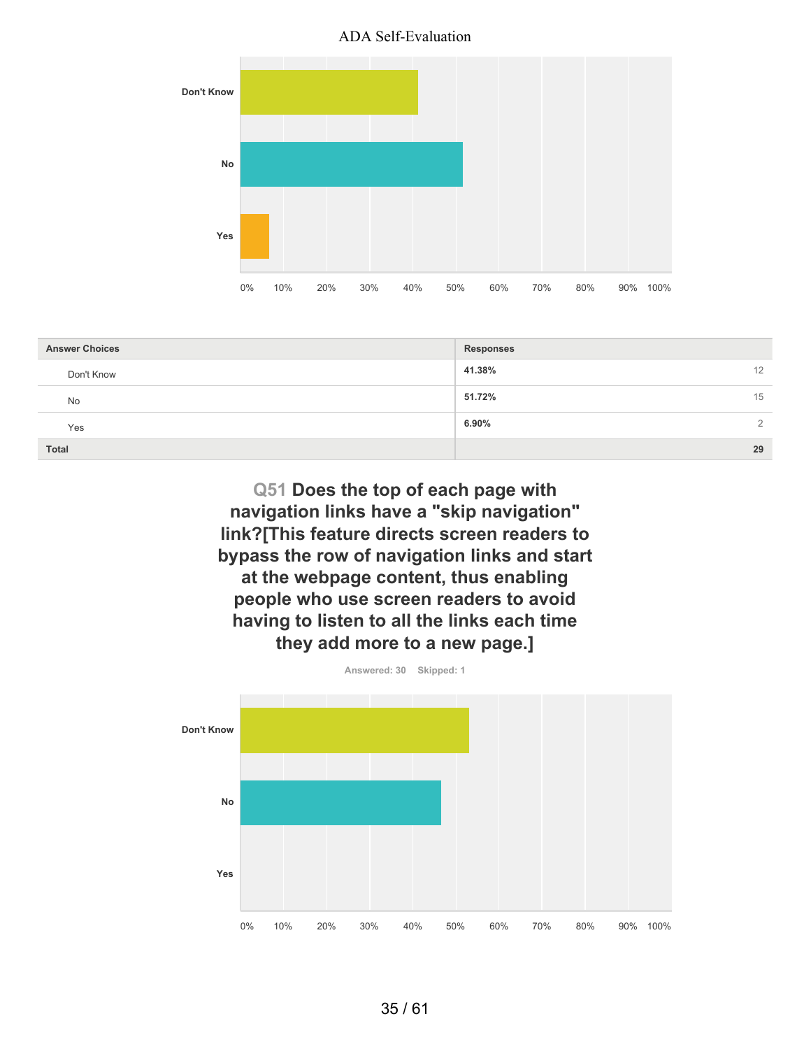



| <b>Answer Choices</b> | <b>Responses</b>       |
|-----------------------|------------------------|
| Don't Know            | 41.38%<br>12           |
| <b>No</b>             | 51.72%<br>15           |
| Yes                   | 6.90%<br>$\mathcal{L}$ |
| <b>Total</b>          | 29                     |

**Q51 Does the top of each page with navigation links have a "skip navigation" link?[This feature directs screen readers to bypass the row of navigation links and start at the webpage content, thus enabling people who use screen readers to avoid having to listen to all the links each time they add more to a new page.]**

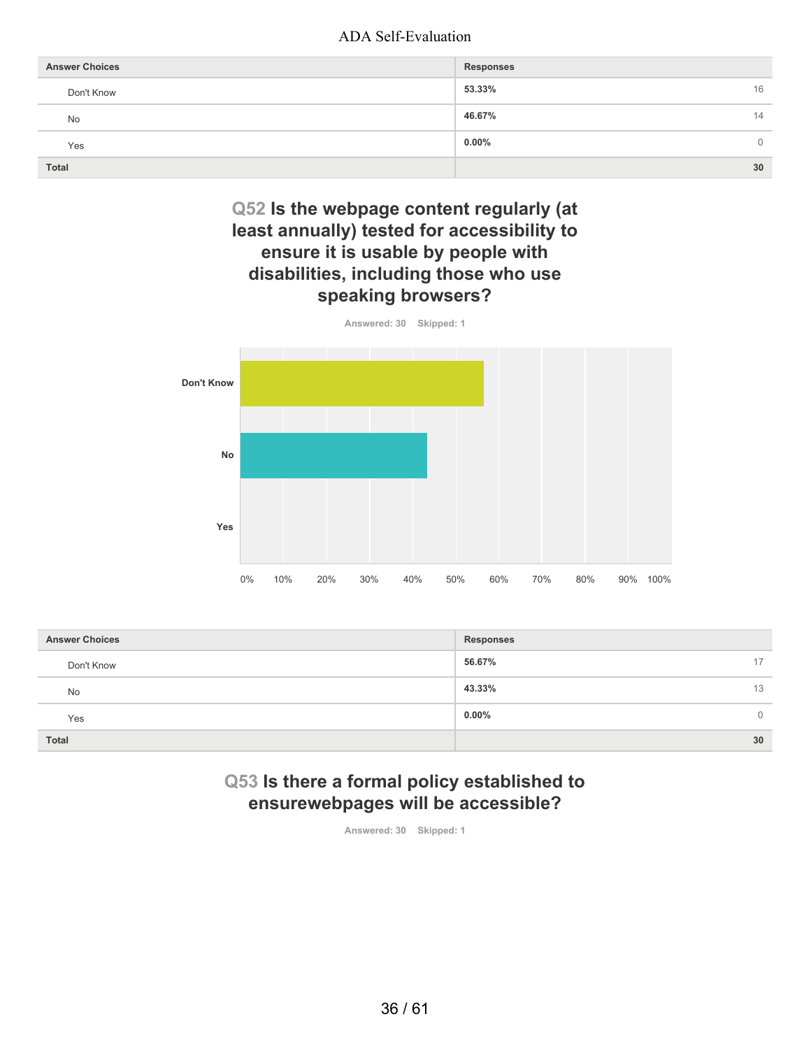| <b>Answer Choices</b> | <b>Responses</b> |
|-----------------------|------------------|
| Don't Know            | 53.33%<br>16     |
| No                    | 46.67%<br>14     |
| Yes                   | $0.00\%$<br>0    |
| <b>Total</b>          | 30               |

# **Q52 Is the webpage content regularly (at least annually) tested for accessibility to ensure it is usable by people with disabilities, including those who use speaking browsers?**



| <b>Answer Choices</b> | <b>Responses</b>     |
|-----------------------|----------------------|
| Don't Know            | 56.67%<br>17         |
| No                    | 43.33%<br>13         |
| Yes                   | $0.00\%$<br>$\Omega$ |
| <b>Total</b>          | 30                   |

# **Q53 Is there a formal policy established to ensurewebpages will be accessible?**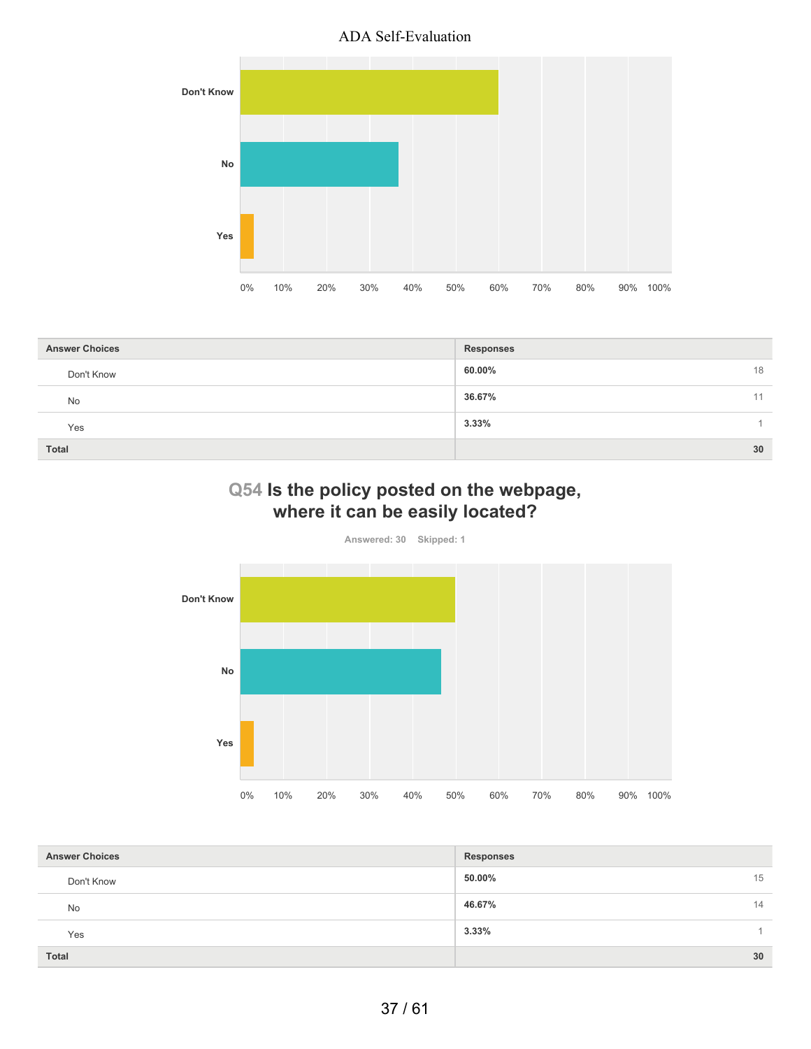

| <b>Answer Choices</b> | <b>Responses</b> |
|-----------------------|------------------|
| Don't Know            | 60.00%<br>18     |
| No                    | 36.67%<br>11     |
| Yes                   | 3.33%            |
| <b>Total</b>          | 30               |

# **Q54 Is the policy posted on the webpage, where it can be easily located?**



| <b>Answer Choices</b> | <b>Responses</b> |
|-----------------------|------------------|
| Don't Know            | 50.00%<br>15     |
| <b>No</b>             | 46.67%<br>14     |
| Yes                   | 3.33%            |
| <b>Total</b>          | 30               |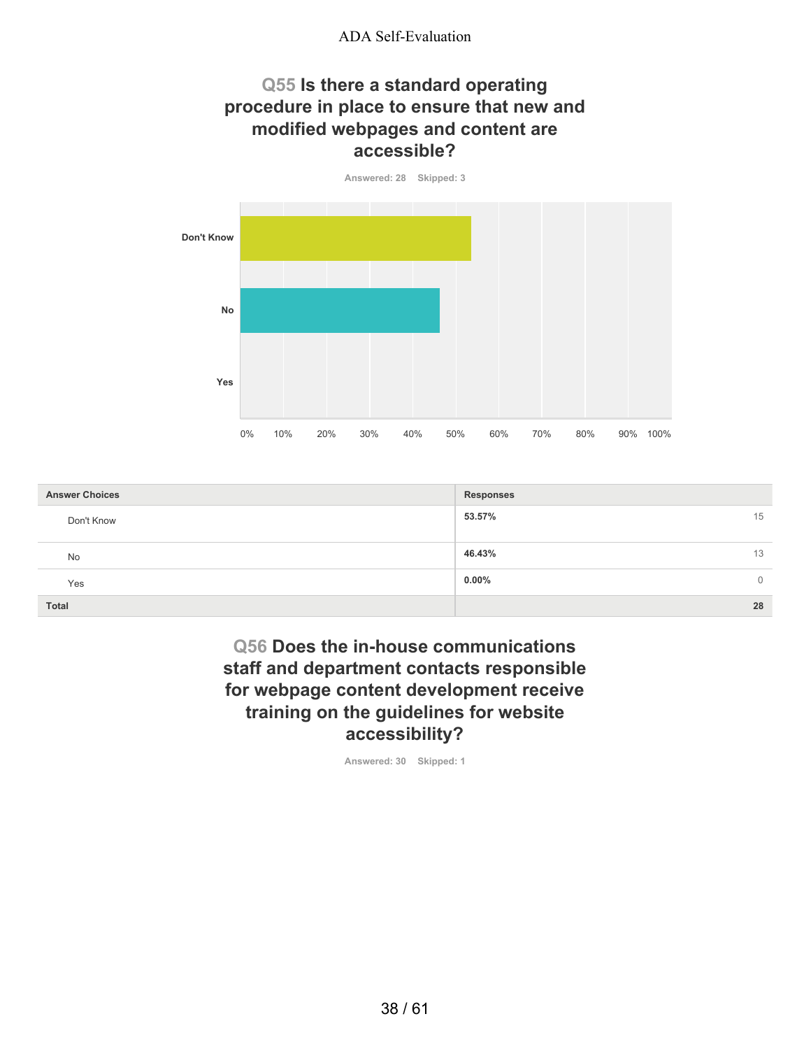## **Q55 Is there a standard operating procedure in place to ensure that new and modified webpages and content are accessible?**



| <b>Answer Choices</b> | <b>Responses</b>         |
|-----------------------|--------------------------|
| Don't Know            | 53.57%<br>15             |
| No                    | 46.43%<br>13             |
| Yes                   | $0.00\%$<br>$\mathbf{0}$ |
| <b>Total</b>          | 28                       |

# **Q56 Does the in-house communications staff and department contacts responsible for webpage content development receive training on the guidelines for website accessibility?**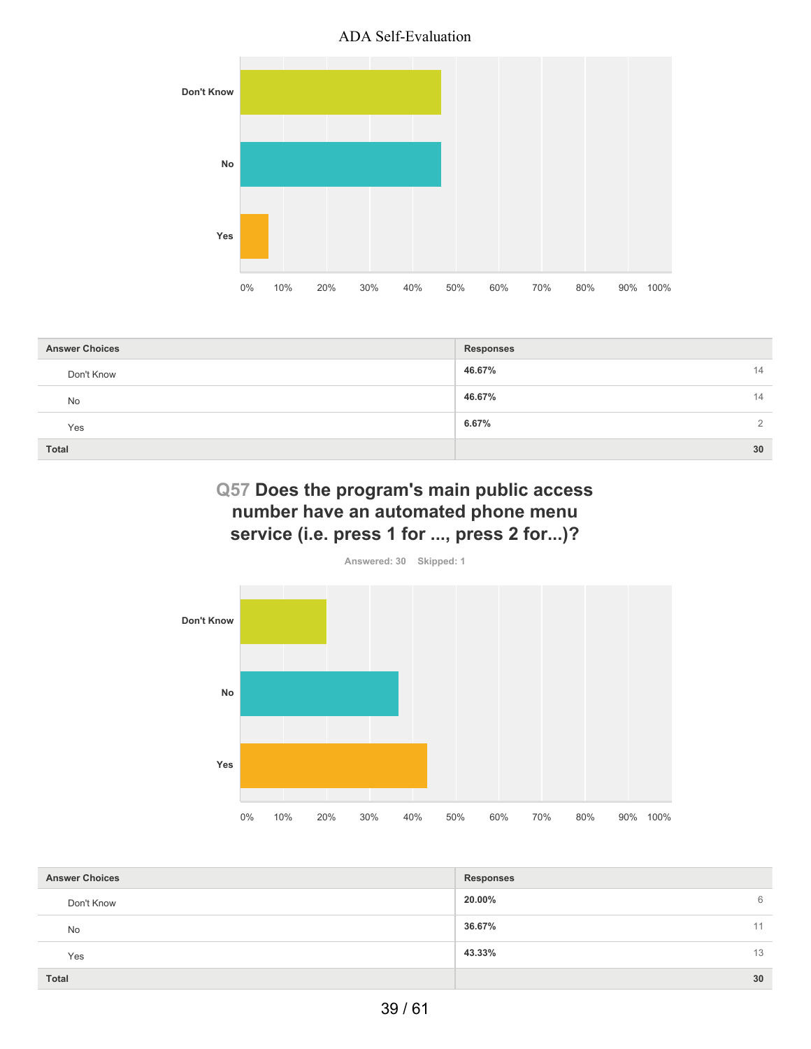

| <b>Answer Choices</b> | <b>Responses</b>  |
|-----------------------|-------------------|
| Don't Know            | 46.67%<br>14      |
| <b>No</b>             | 46.67%<br>14      |
| Yes                   | 6.67%<br>$\Omega$ |
| <b>Total</b>          | 30                |

# **Q57 Does the program's main public access number have an automated phone menu service (i.e. press 1 for ..., press 2 for...)?**



| <b>Answer Choices</b> | <b>Responses</b> |
|-----------------------|------------------|
| Don't Know            | 20.00%<br>6      |
| <b>No</b>             | 36.67%<br>11     |
| Yes                   | 43.33%<br>13     |
| <b>Total</b>          | 30               |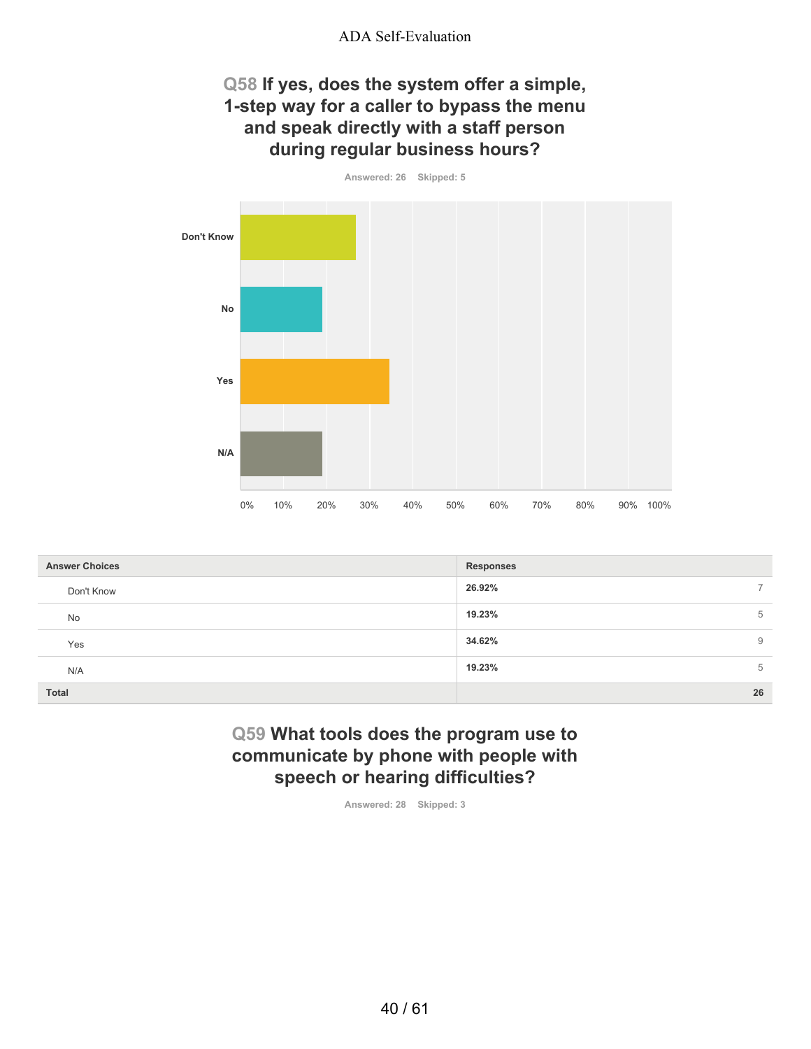# **Q58 If yes, does the system offer a simple, 1-step way for a caller to bypass the menu and speak directly with a staff person during regular business hours?**

**Answered: 26 Skipped: 5**

**Don't Know**



| <b>Answer Choices</b> | <b>Responses</b> |
|-----------------------|------------------|
| Don't Know            | 26.92%           |
| No                    | 19.23%<br>5      |
| Yes                   | 34.62%<br>9      |
| N/A                   | 19.23%<br>5      |
| <b>Total</b>          | 26               |

## **Q59 What tools does the program use to communicate by phone with people with speech or hearing difficulties?**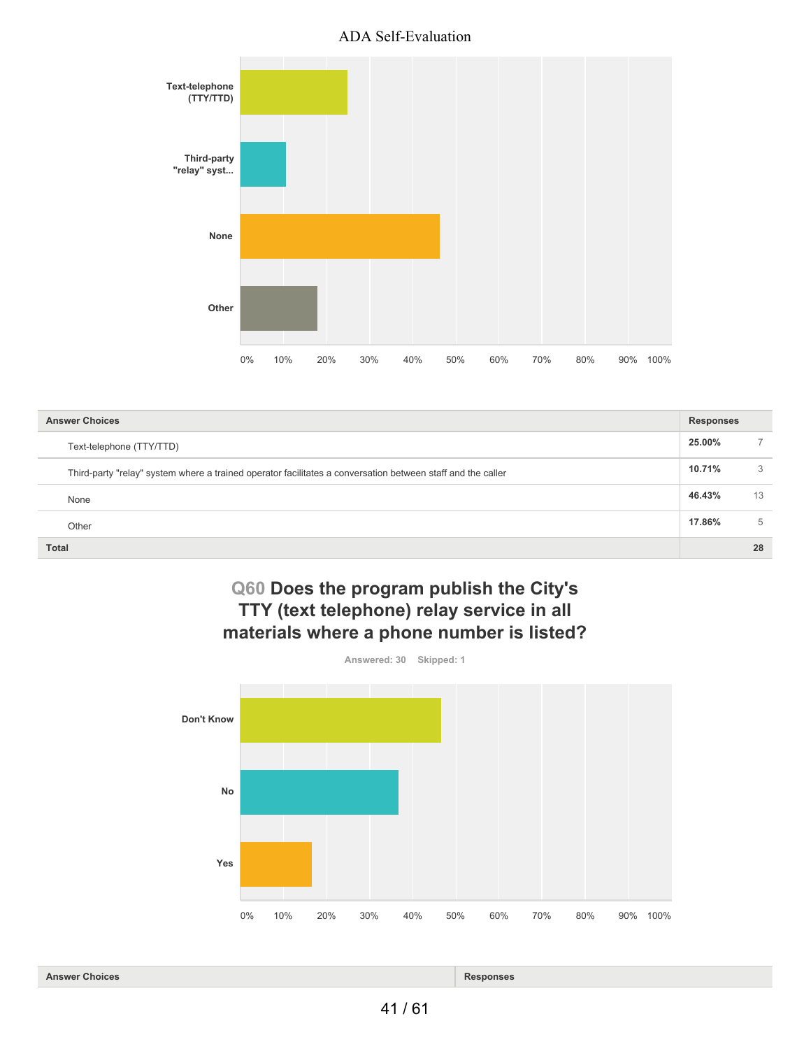

| <b>Answer Choices</b>                                                                                       | <b>Responses</b> |    |
|-------------------------------------------------------------------------------------------------------------|------------------|----|
| Text-telephone (TTY/TTD)                                                                                    | 25.00%           |    |
| Third-party "relay" system where a trained operator facilitates a conversation between staff and the caller | 10.71%           | 3  |
| None                                                                                                        | 46.43%           | 13 |
| Other                                                                                                       | 17.86%           | 5  |
| <b>Total</b>                                                                                                |                  | 28 |

## **Q60 Does the program publish the City's TTY (text telephone) relay service in all materials where a phone number is listed?**



**Answer Choices Responses**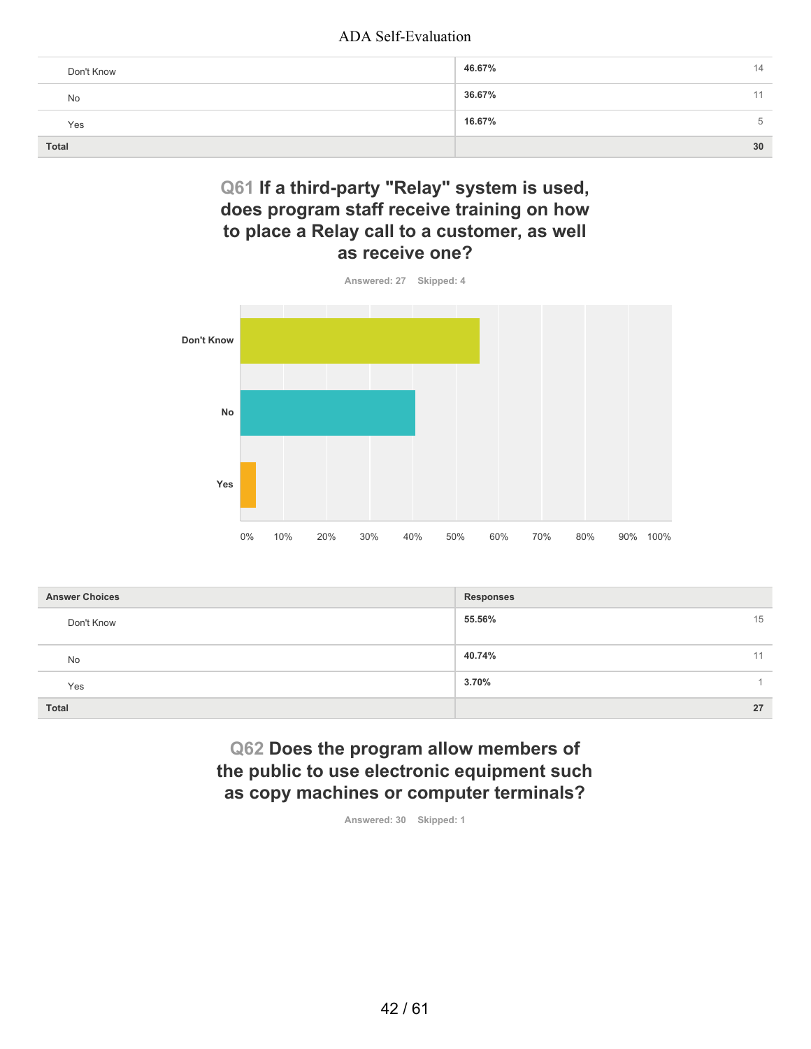| Don't Know   | 46.67% | 14 |
|--------------|--------|----|
| No           | 36.67% |    |
| Yes          | 16.67% | 5  |
| <b>Total</b> |        | 30 |

## **Q61 If a third-party "Relay" system is used, does program staff receive training on how to place a Relay call to a customer, as well as receive one?**



| <b>Answer Choices</b> | <b>Responses</b> |
|-----------------------|------------------|
| Don't Know            | 15<br>55.56%     |
| No                    | 40.74%<br>11     |
| Yes                   | 3.70%            |
| Total                 | 27               |

## **Q62 Does the program allow members of the public to use electronic equipment such as copy machines or computer terminals?**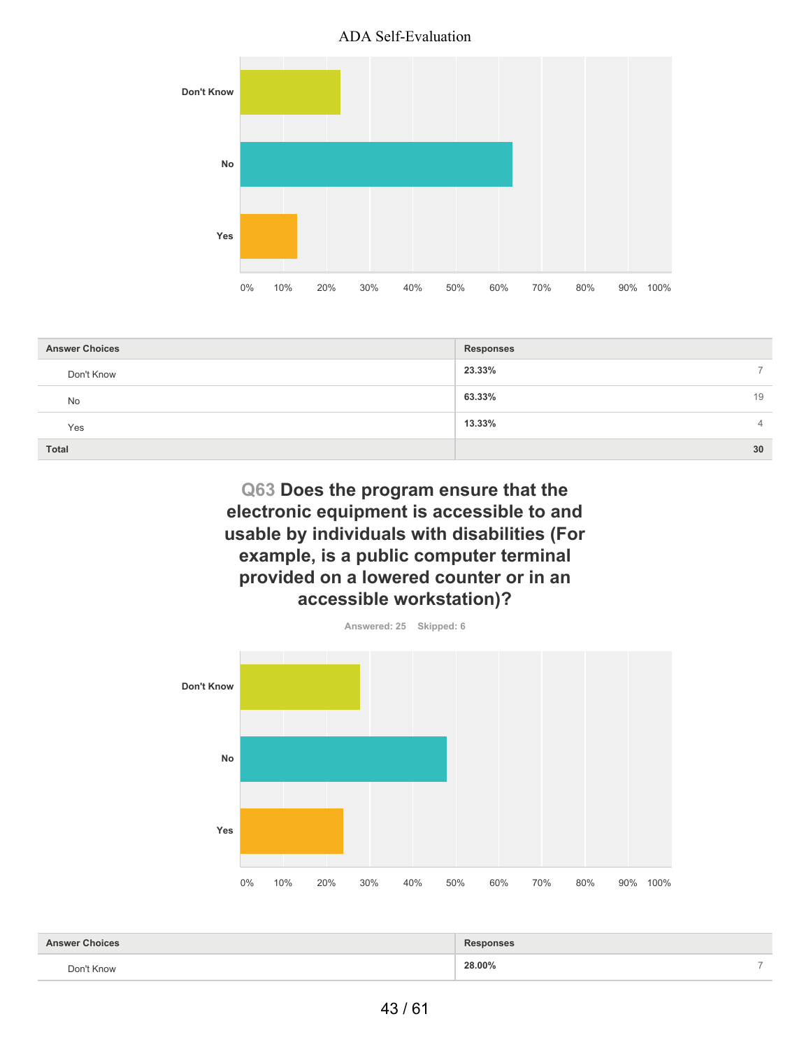



| <b>Answer Choices</b> | <b>Responses</b>                   |
|-----------------------|------------------------------------|
| Don't Know            | 23.33%<br>$\overline{\phantom{0}}$ |
| <b>No</b>             | 63.33%<br>19                       |
| Yes                   | 13.33%<br>$\overline{4}$           |
| Total                 | 30                                 |

**Q63 Does the program ensure that the electronic equipment is accessible to and usable by individuals with disabilities (For example, is a public computer terminal provided on a lowered counter or in an accessible workstation)?**



| r Choices<br>гu. | <b>sponses</b>   |
|------------------|------------------|
| Don't Know       | 28.00%<br>-<br>. |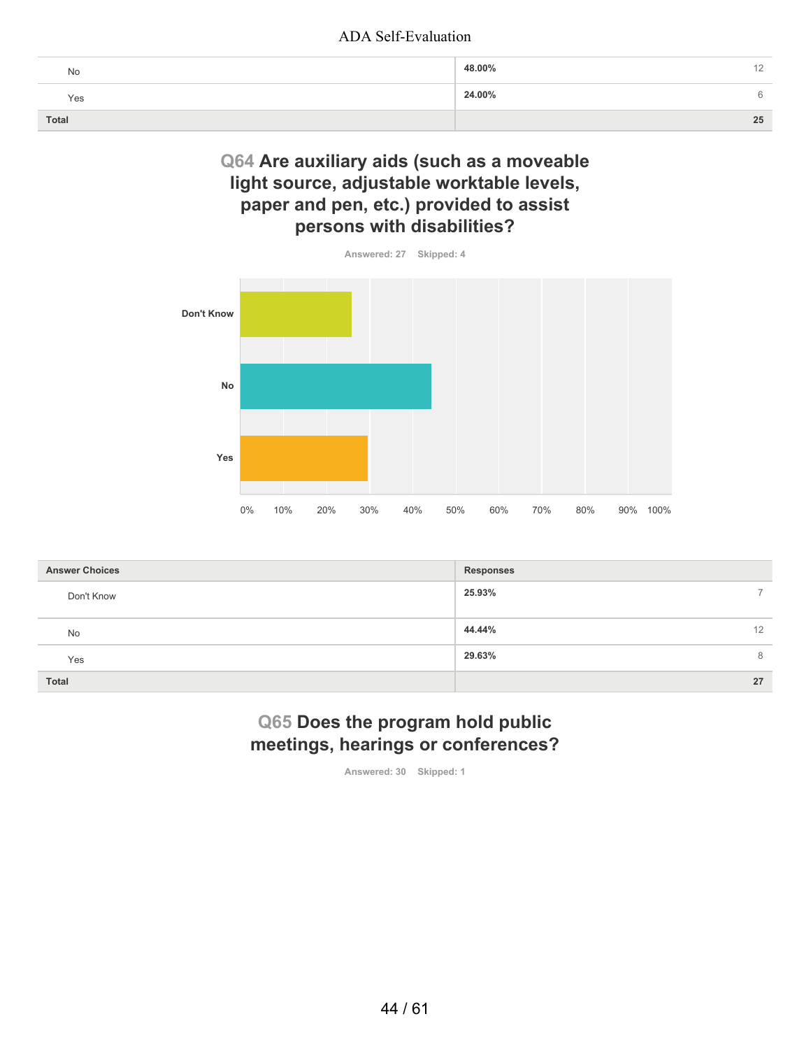| No           | 48.00% |
|--------------|--------|
| Yes          | 24.00% |
| <b>Total</b> | 25     |

## **Q64 Are auxiliary aids (such as a moveable light source, adjustable worktable levels, paper and pen, etc.) provided to assist persons with disabilities?**



| <b>Answer Choices</b> | <b>Responses</b> |
|-----------------------|------------------|
| Don't Know            | 25.93%           |
| No                    | 44.44%<br>12     |
| Yes                   | 29.63%<br>8      |
| Total                 | 27               |

## **Q65 Does the program hold public meetings, hearings or conferences?**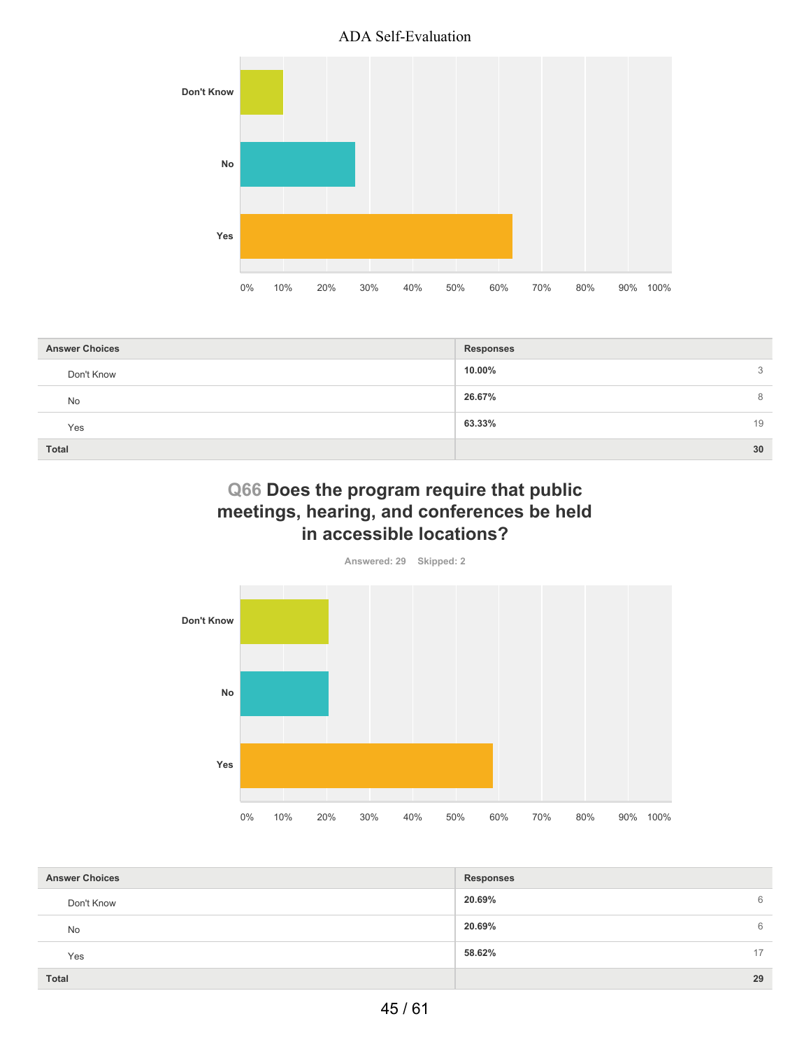

| <b>Answer Choices</b> | <b>Responses</b> |
|-----------------------|------------------|
| Don't Know            | 10.00%<br>3      |
| <b>No</b>             | 26.67%<br>8      |
| Yes                   | 63.33%<br>19     |
| <b>Total</b>          | 30               |

# **Q66 Does the program require that public meetings, hearing, and conferences be held in accessible locations?**



| <b>Answer Choices</b> | <b>Responses</b> |    |
|-----------------------|------------------|----|
| Don't Know            | 20.69%           | 6  |
| <b>No</b>             | 20.69%           | 6  |
| Yes                   | 58.62%           | 17 |
| <b>Total</b>          |                  | 29 |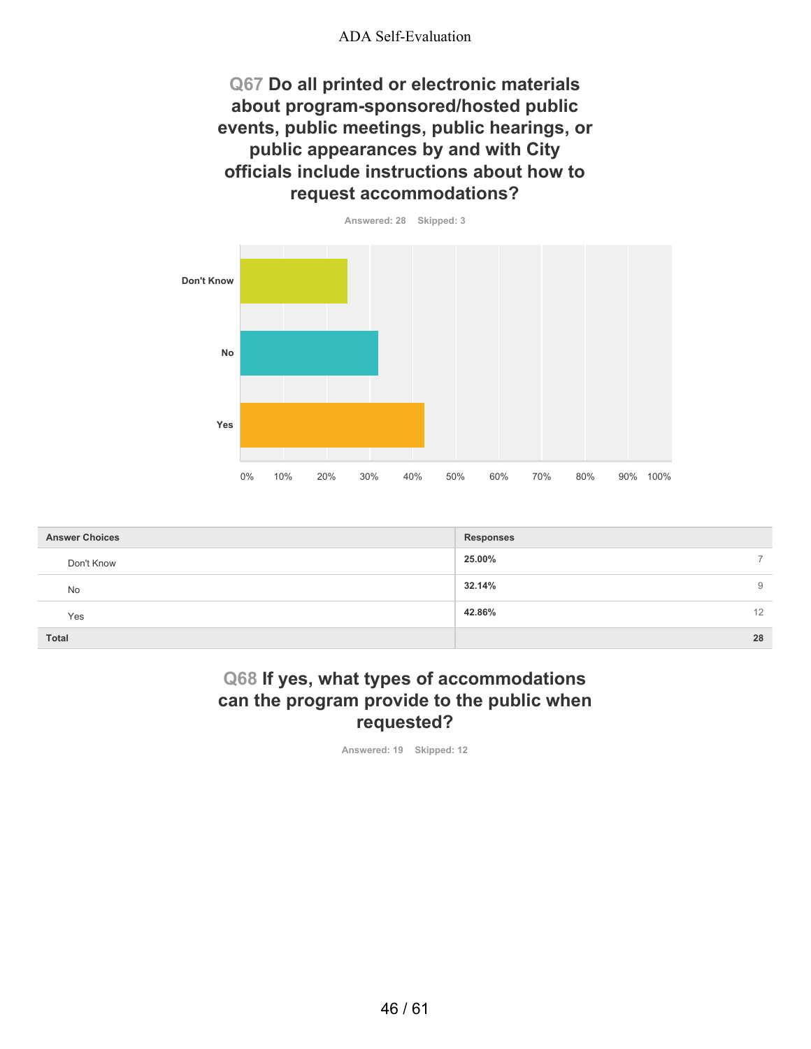**Q67 Do all printed or electronic materials about program-sponsored/hosted public events, public meetings, public hearings, or public appearances by and with City officials include instructions about how to request accommodations?**



| <b>Answer Choices</b> | <b>Responses</b> |
|-----------------------|------------------|
| Don't Know            | 25.00%           |
| <b>No</b>             | 32.14%<br>9      |
| Yes                   | 42.86%<br>12     |
| <b>Total</b>          | 28               |

## **Q68 If yes, what types of accommodations can the program provide to the public when requested?**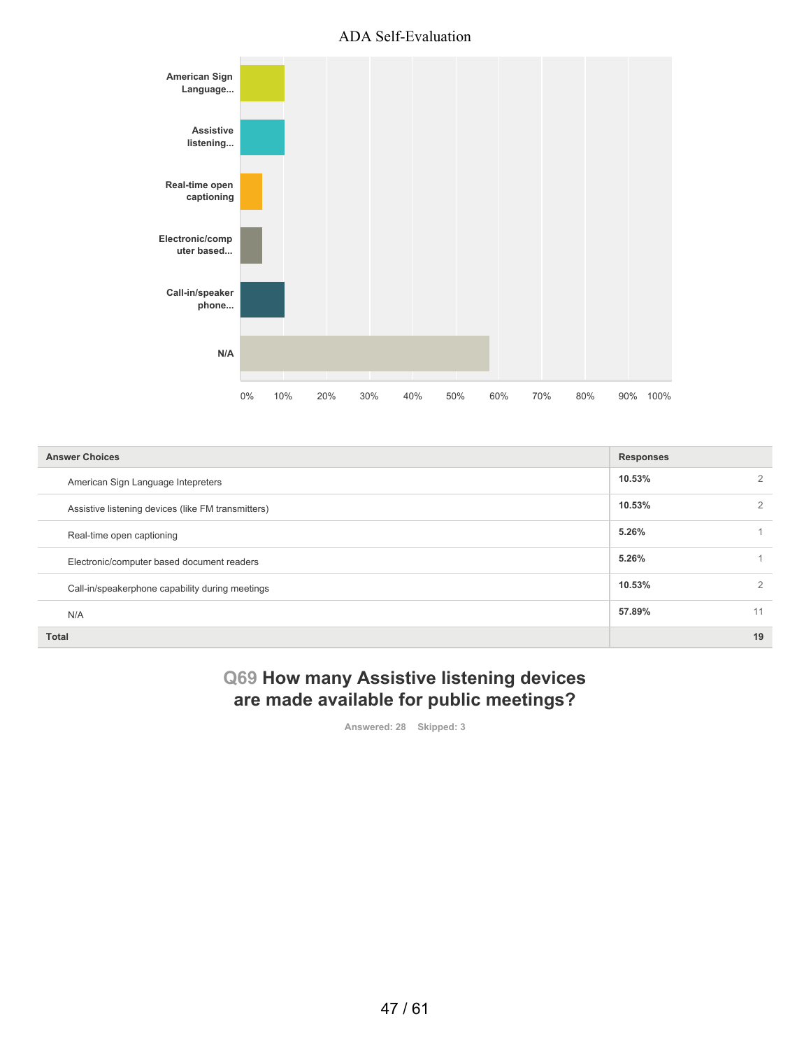

| <b>Answer Choices</b>                              | <b>Responses</b> |                |
|----------------------------------------------------|------------------|----------------|
| American Sign Language Intepreters                 | 10.53%           | 2              |
| Assistive listening devices (like FM transmitters) | 10.53%           | 2              |
| Real-time open captioning                          | 5.26%            |                |
| Electronic/computer based document readers         | 5.26%            |                |
| Call-in/speakerphone capability during meetings    | 10.53%           | $\overline{2}$ |
| N/A                                                | 57.89%           | 11             |
| <b>Total</b>                                       |                  | 19             |

# **Q69 How many Assistive listening devices are made available for public meetings?**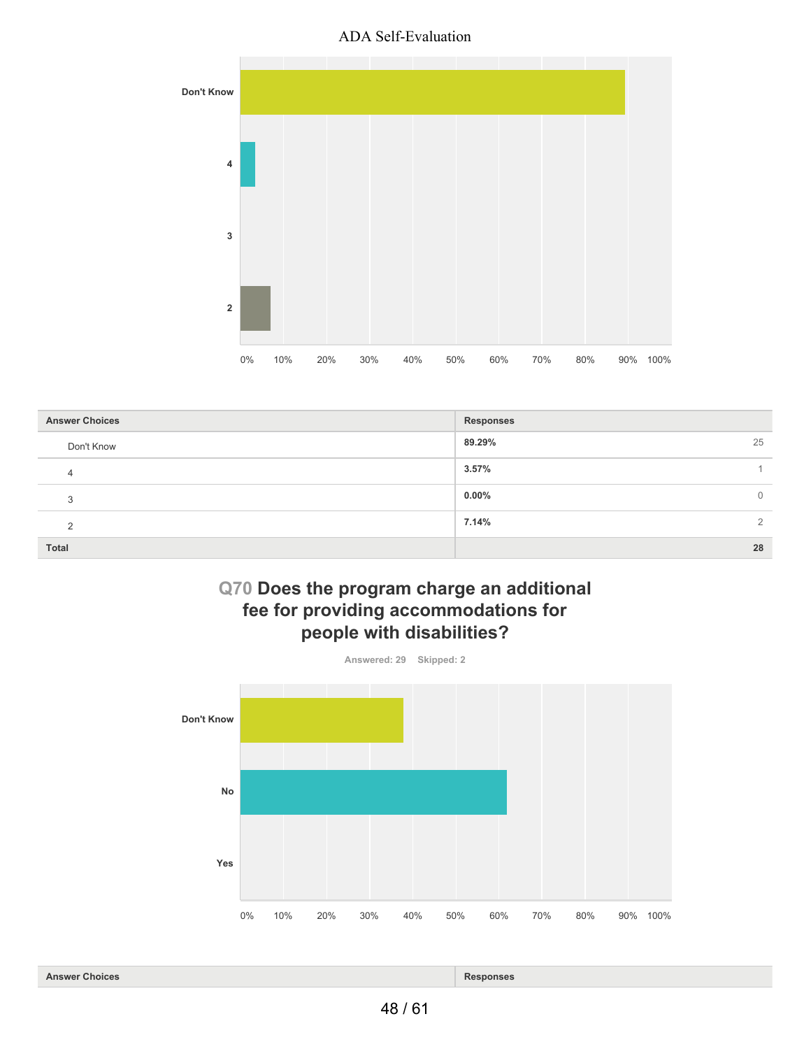

| <b>Answer Choices</b> | <b>Responses</b>           |
|-----------------------|----------------------------|
| Don't Know            | 25<br>89.29%               |
| 4                     | 3.57%                      |
| 3                     | $0.00\%$<br>$\overline{0}$ |
| $\Omega$              | 7.14%<br>2                 |
| Total                 | 28                         |

# **Q70 Does the program charge an additional fee for providing accommodations for people with disabilities?**



**Answer Choices Responses**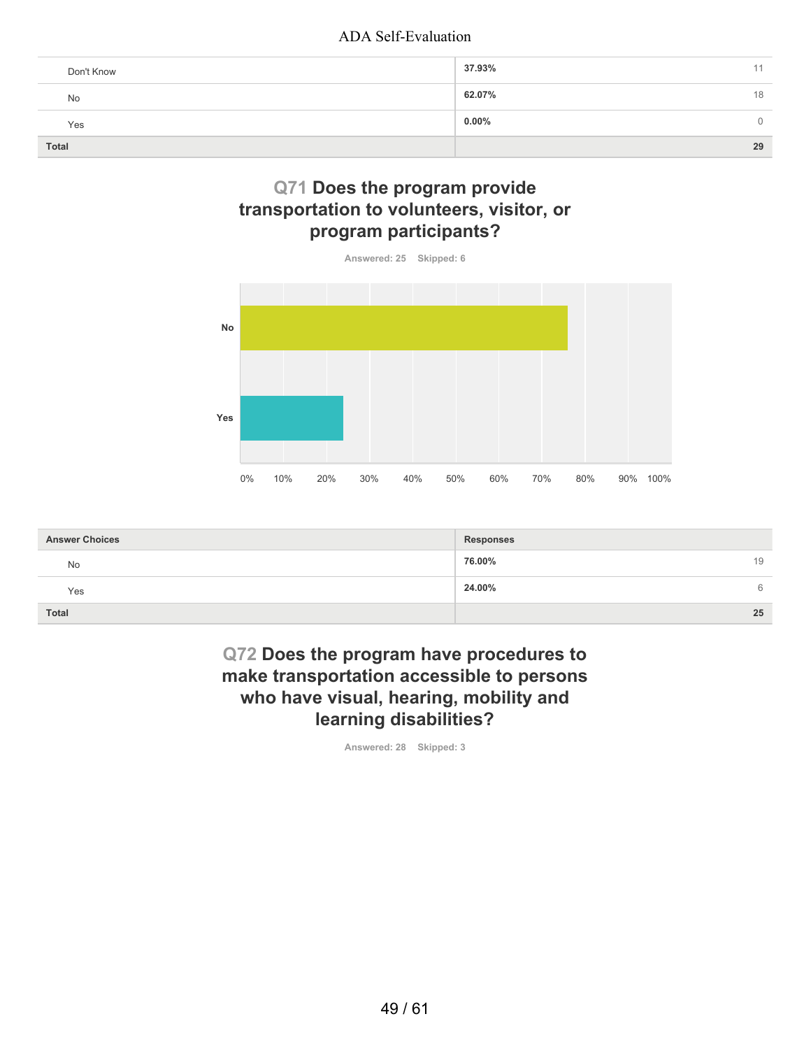| Don't Know   | 37.93%               |
|--------------|----------------------|
| No           | 62.07%<br>18         |
| Yes          | $0.00\%$<br>$\Omega$ |
| <b>Total</b> | 29                   |

# **Q71 Does the program provide transportation to volunteers, visitor, or program participants?**



| <b>Answer Choices</b> | <b>Responses</b> |
|-----------------------|------------------|
| <b>No</b>             | 76.00%<br>19     |
| Yes                   | 24.00%<br>6      |
| <b>Total</b>          | 25               |

# **Q72 Does the program have procedures to make transportation accessible to persons who have visual, hearing, mobility and learning disabilities?**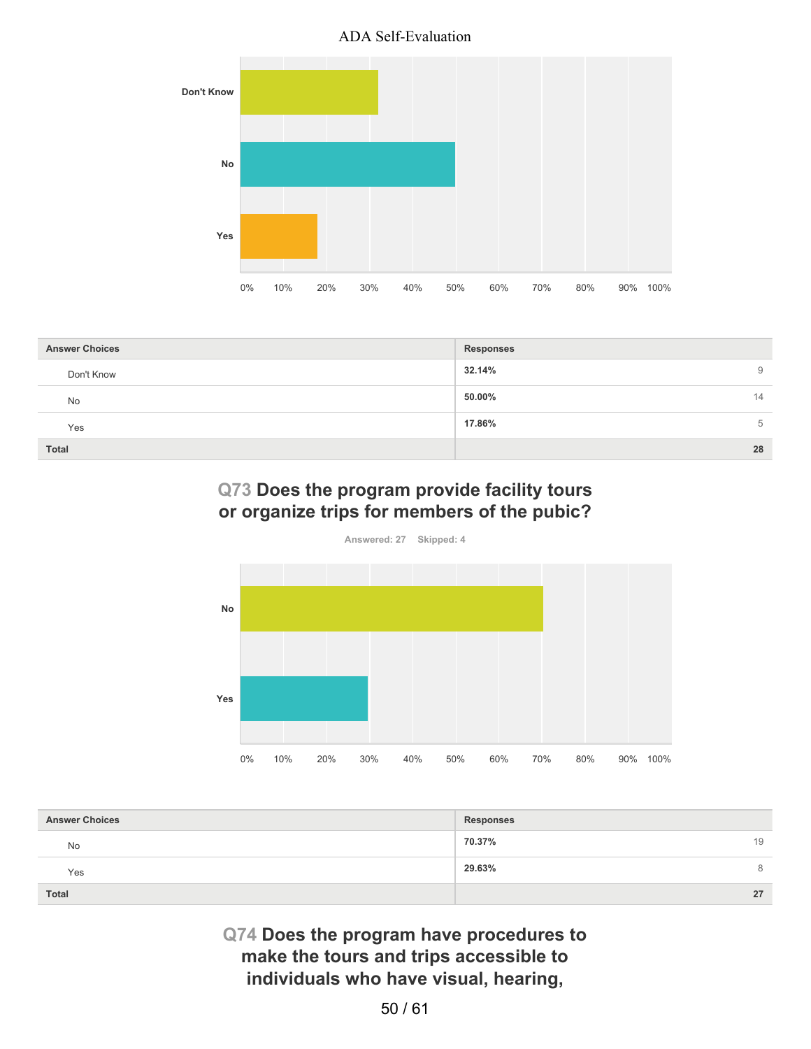

| <b>Answer Choices</b> | <b>Responses</b> |
|-----------------------|------------------|
| Don't Know            | 32.14%<br>9      |
| No                    | 50.00%<br>14     |
| Yes                   | 17.86%<br>5      |
| Total                 | 28               |

# **Q73 Does the program provide facility tours or organize trips for members of the pubic?**



| <b>Answer Choices</b> | <b>Responses</b> |
|-----------------------|------------------|
| No                    | 70.37%<br>19     |
| Yes                   | 29.63%<br>8      |
| <b>Total</b>          | 27               |

**Q74 Does the program have procedures to make the tours and trips accessible to individuals who have visual, hearing,**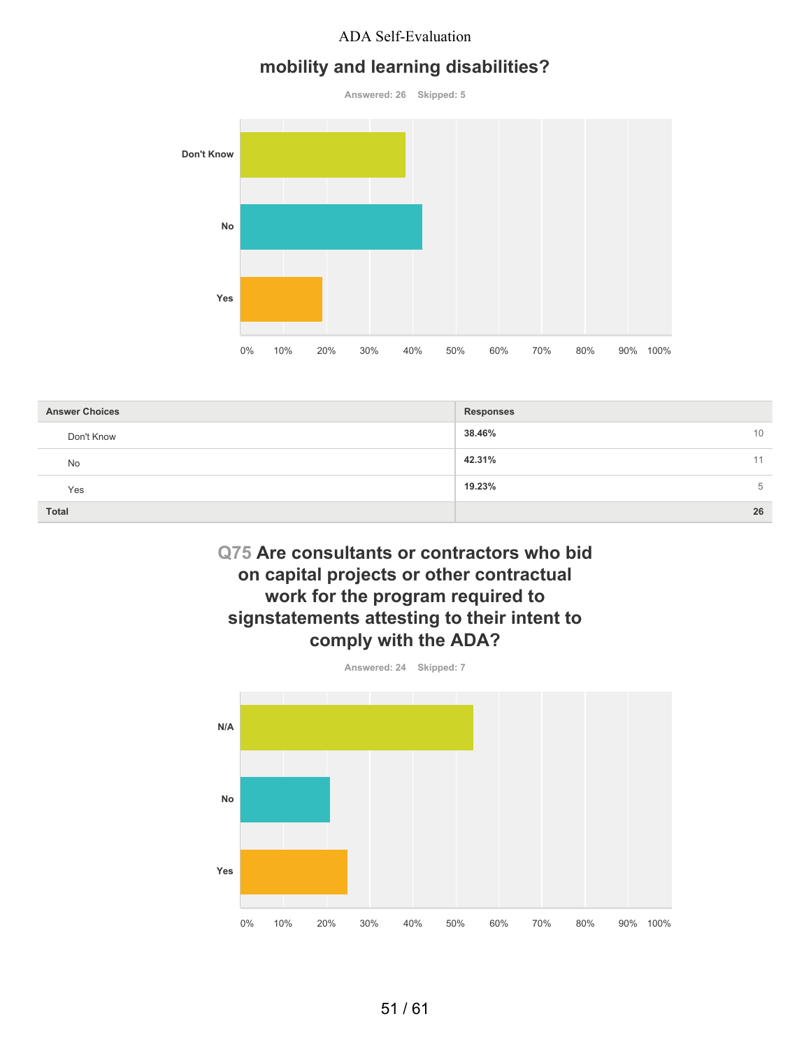## **mobility and learning disabilities?**

**Answered: 26 Skipped: 5**



| <b>Answer Choices</b> | <b>Responses</b> |
|-----------------------|------------------|
| Don't Know            | 38.46%<br>10     |
| No                    | 42.31%<br>11     |
| Yes                   | 19.23%<br>5      |
| <b>Total</b>          | 26               |

# **Q75 Are consultants or contractors who bid on capital projects or other contractual work for the program required to signstatements attesting to their intent to comply with the ADA?**

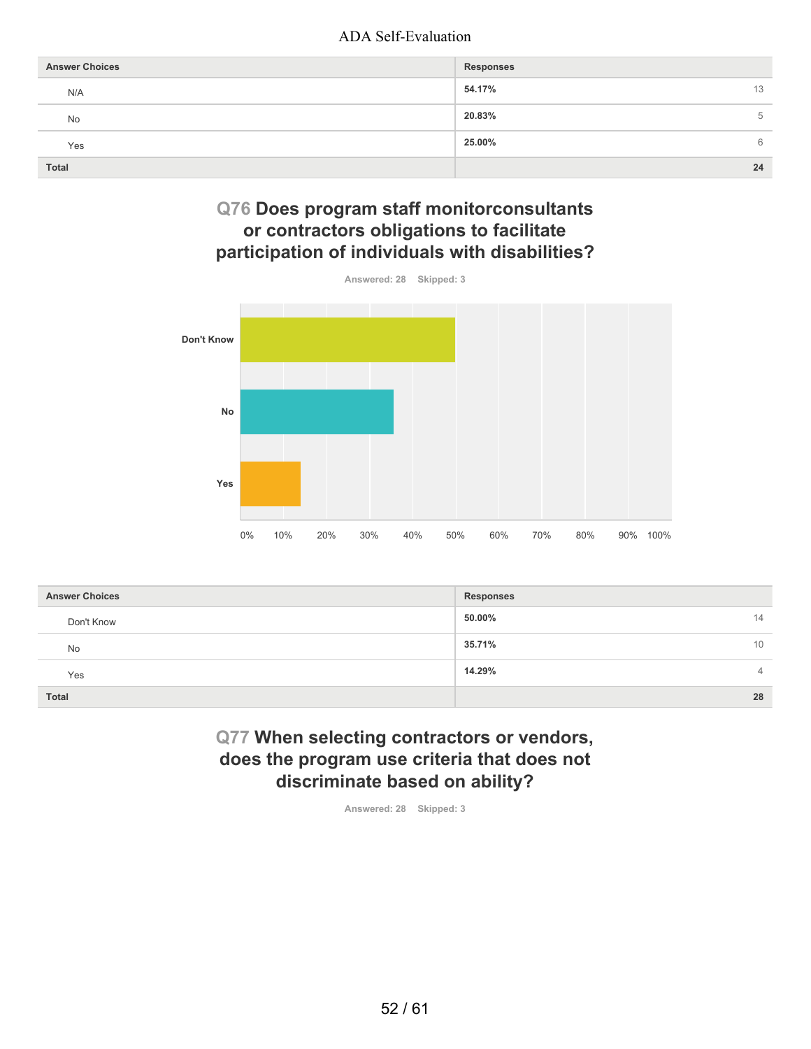| <b>Answer Choices</b> | <b>Responses</b> |
|-----------------------|------------------|
| N/A                   | 54.17%<br>13     |
| No                    | 20.83%<br>5      |
| Yes                   | 25.00%<br>6      |
| <b>Total</b>          | 24               |

# **Q76 Does program staff monitorconsultants or contractors obligations to facilitate participation of individuals with disabilities?**



| <b>Answer Choices</b> | Responses    |
|-----------------------|--------------|
| Don't Know            | 50.00%<br>14 |
| No                    | 35.71%<br>10 |
| Yes                   | 14.29%<br>4  |
| <b>Total</b>          | 28           |

# **Q77 When selecting contractors or vendors, does the program use criteria that does not discriminate based on ability?**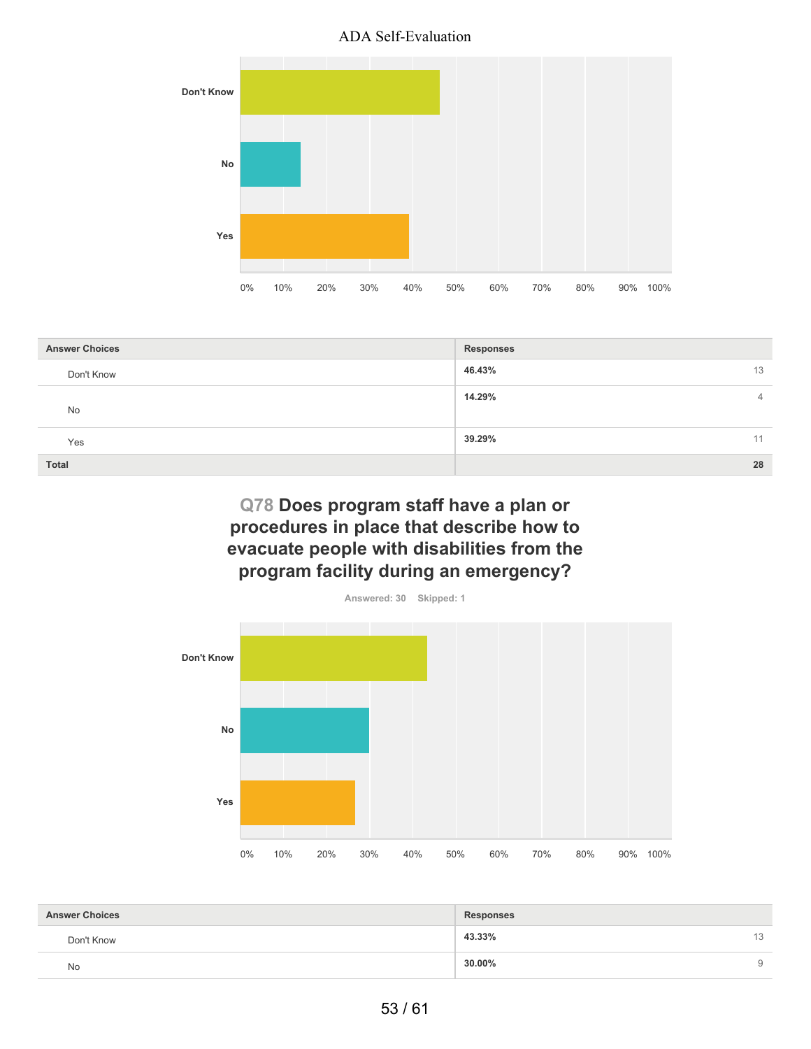

| <b>Answer Choices</b> | <b>Responses</b>         |
|-----------------------|--------------------------|
| Don't Know            | 46.43%<br>13             |
| No                    | 14.29%<br>$\overline{4}$ |
| Yes                   | 39.29%<br>11             |
| <b>Total</b>          | 28                       |

# **Q78 Does program staff have a plan or procedures in place that describe how to evacuate people with disabilities from the program facility during an emergency?**



| <b>Answer Choices</b> | <b>Responses</b> |    |
|-----------------------|------------------|----|
| Don't Know            | 43.33%           | 13 |
| No                    | $30.00\%$        | 9  |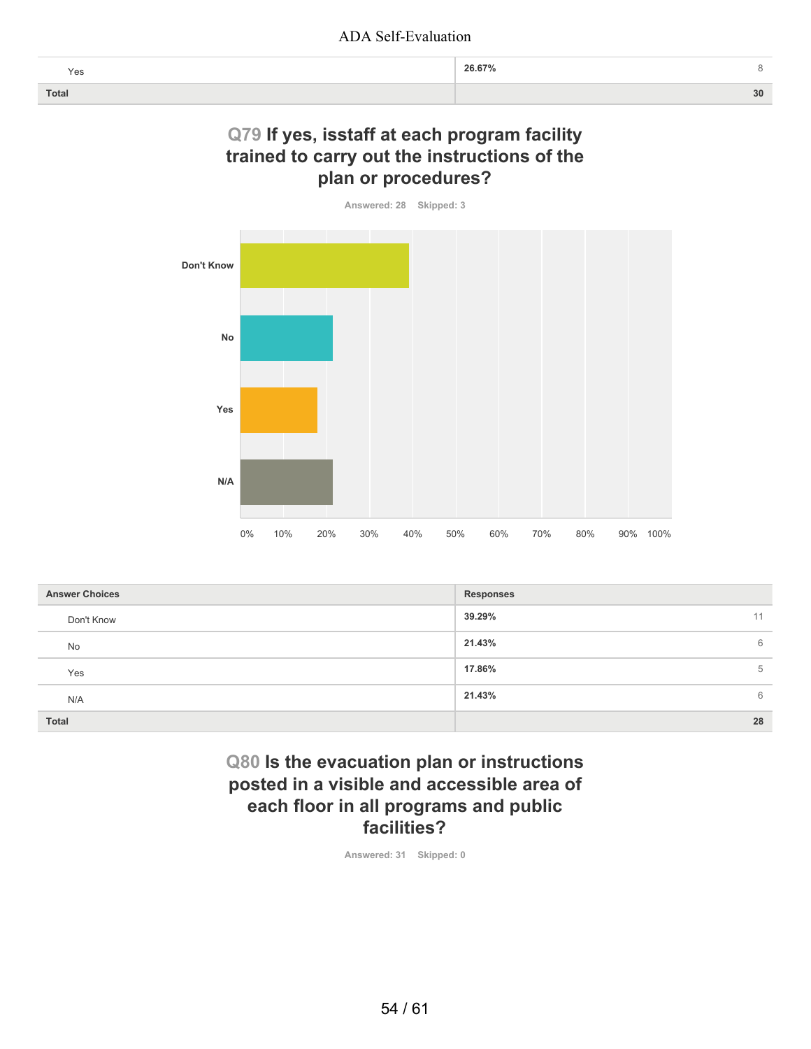| Yes   | 26.67% |    |
|-------|--------|----|
| Total |        | 30 |

## **Q79 If yes, isstaff at each program facility trained to carry out the instructions of the plan or procedures?**

**Answered: 28 Skipped: 3**



| <b>Answer Choices</b> | <b>Responses</b> |
|-----------------------|------------------|
| Don't Know            | 39.29%<br>11     |
| No                    | 21.43%<br>6      |
| Yes                   | 17.86%<br>5      |
| N/A                   | 21.43%<br>6      |
| <b>Total</b>          | 28               |

# **Q80 Is the evacuation plan or instructions posted in a visible and accessible area of each floor in all programs and public facilities?**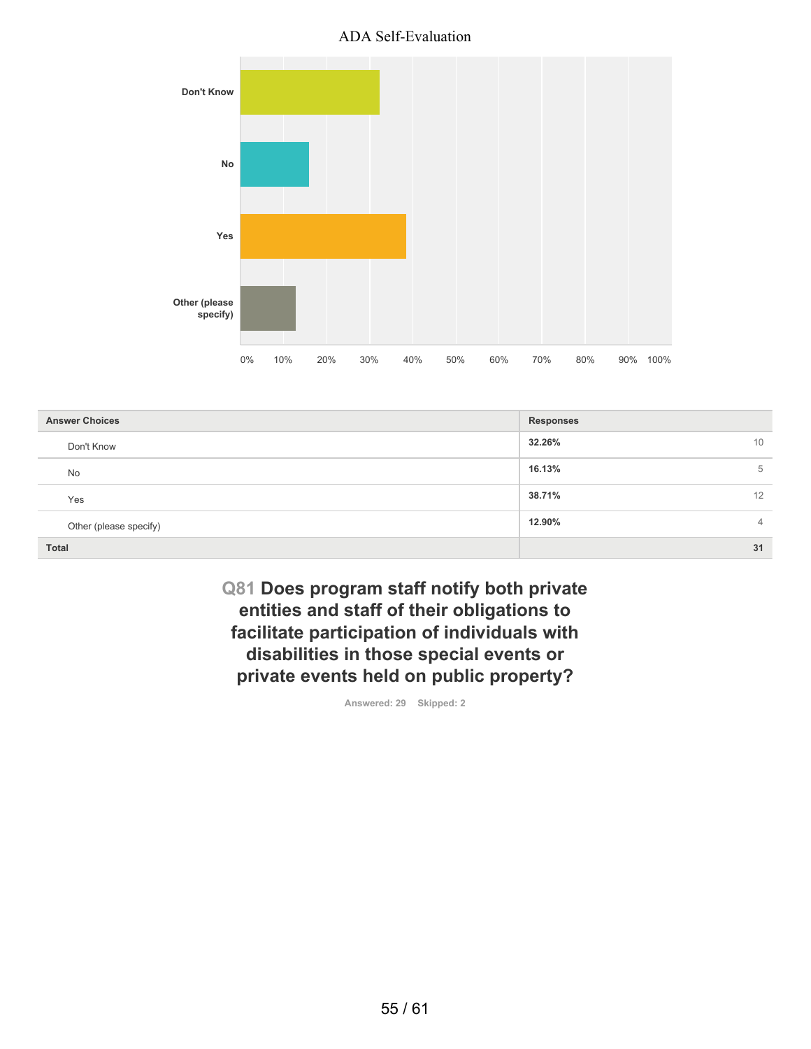

| <b>Answer Choices</b>  | <b>Responses</b>         |
|------------------------|--------------------------|
| Don't Know             | 32.26%<br>10             |
| No                     | 16.13%<br>5              |
| Yes                    | 38.71%<br>12             |
| Other (please specify) | 12.90%<br>$\overline{4}$ |
| <b>Total</b>           | 31                       |

**Q81 Does program staff notify both private entities and staff of their obligations to facilitate participation of individuals with disabilities in those special events or private events held on public property?**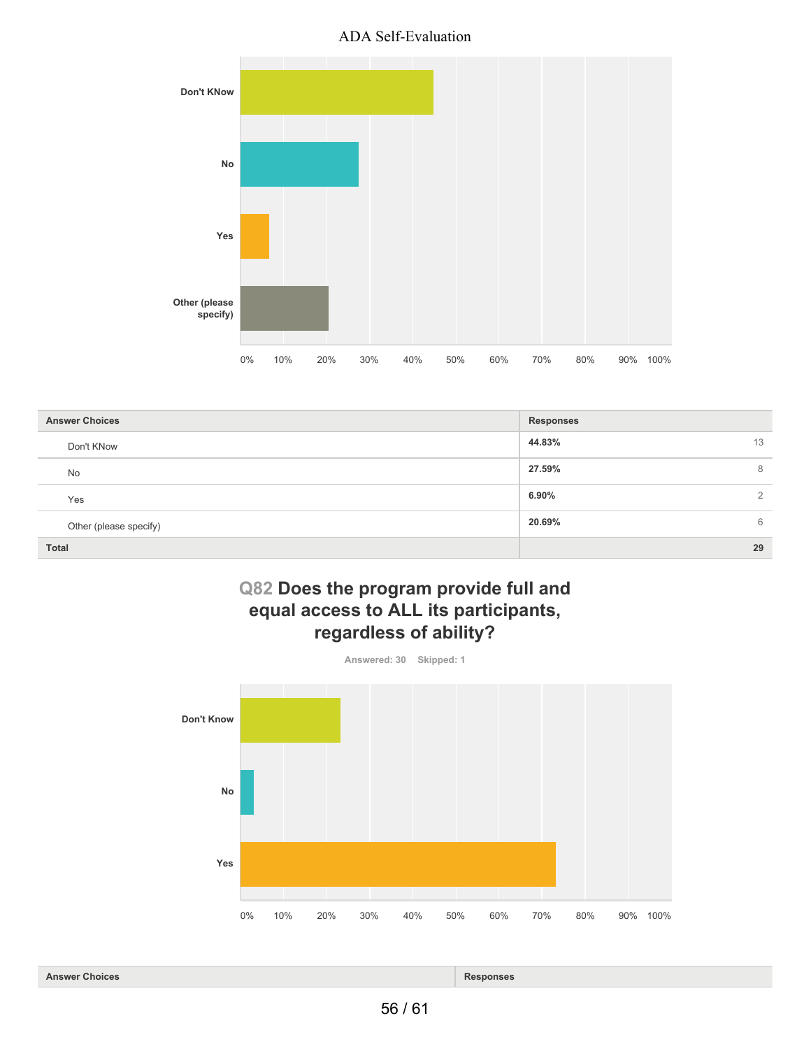

| <b>Answer Choices</b>  | <b>Responses</b>           |
|------------------------|----------------------------|
| Don't KNow             | 44.83%<br>13               |
| <b>No</b>              | 27.59%<br>8                |
| Yes                    | $6.90\%$<br>$\overline{2}$ |
| Other (please specify) | 20.69%<br>6                |
| <b>Total</b>           | 29                         |

# **Q82 Does the program provide full and equal access to ALL its participants, regardless of ability?**



**Answer Choices Responses**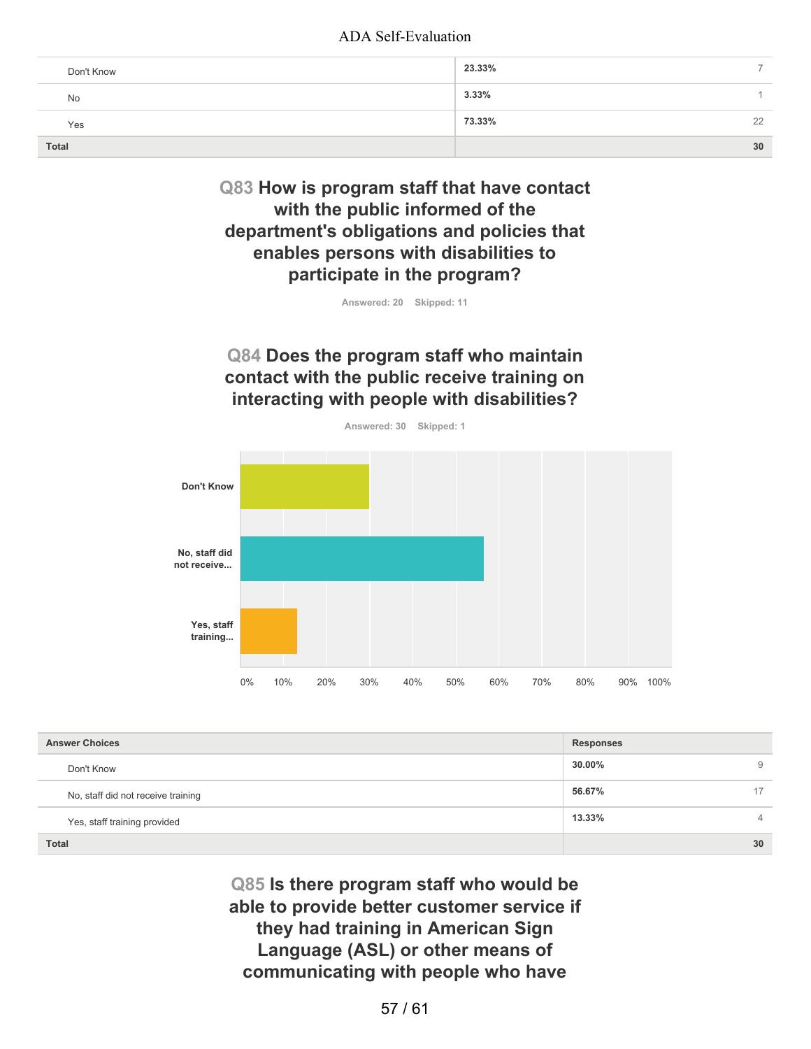| Don't Know   | 23.33%   | -  |
|--------------|----------|----|
| No           | $3.33\%$ |    |
| Yes          | 73.33%   | 22 |
| <b>Total</b> |          | 30 |

# **Q83 How is program staff that have contact with the public informed of the department's obligations and policies that enables persons with disabilities to participate in the program?**

**Answered: 20 Skipped: 11**

# **Q84 Does the program staff who maintain contact with the public receive training on interacting with people with disabilities?**



| <b>Answer Choices</b>              | <b>Responses</b> |    |
|------------------------------------|------------------|----|
| Don't Know                         | 30.00%           | 9  |
| No, staff did not receive training | 56.67%           | 17 |
| Yes, staff training provided       | 13.33%           | 4  |
| <b>Total</b>                       |                  | 30 |

**Q85 Is there program staff who would be able to provide better customer service if they had training in American Sign Language (ASL) or other means of communicating with people who have**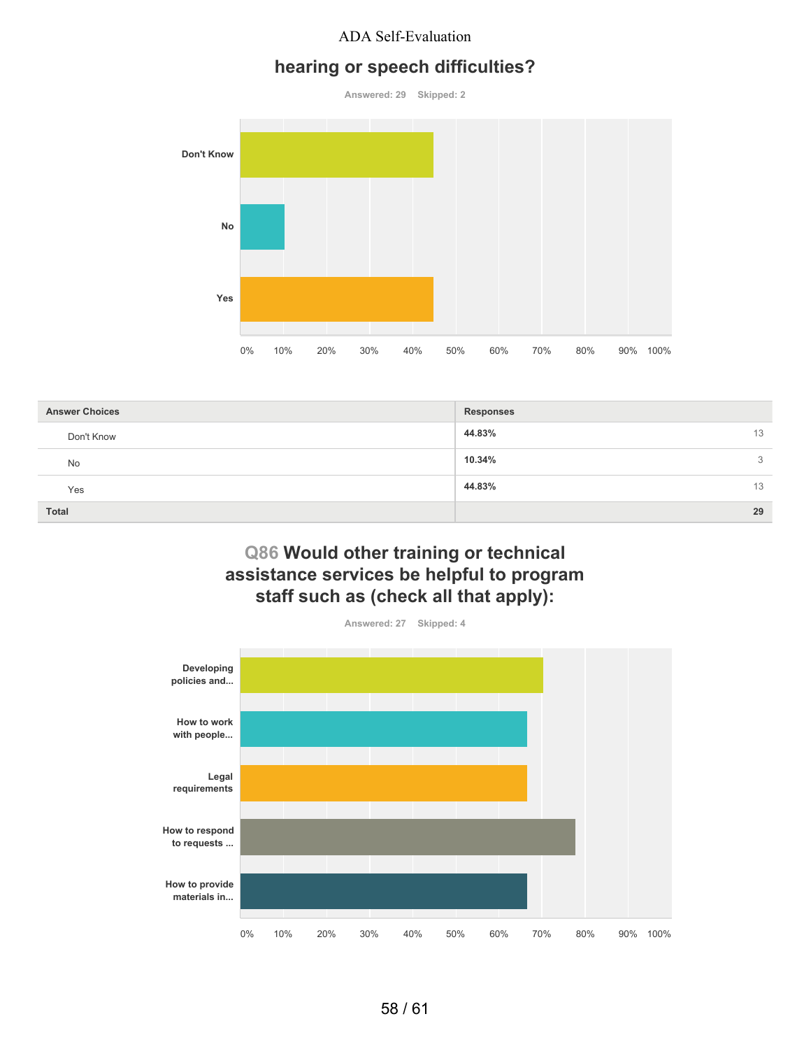## **hearing or speech difficulties?**

**Answered: 29 Skipped: 2 Don't Know No Yes** 0% 10% 20% 30% 40% 50% 60% 70% 80% 90% 100%

| <b>Answer Choices</b> | <b>Responses</b> |
|-----------------------|------------------|
| Don't Know            | 44.83%<br>13     |
| No                    | 10.34%<br>3      |
| Yes                   | 44.83%<br>13     |
| Total                 | 29               |

## **Q86 Would other training or technical assistance services be helpful to program staff such as (check all that apply):**

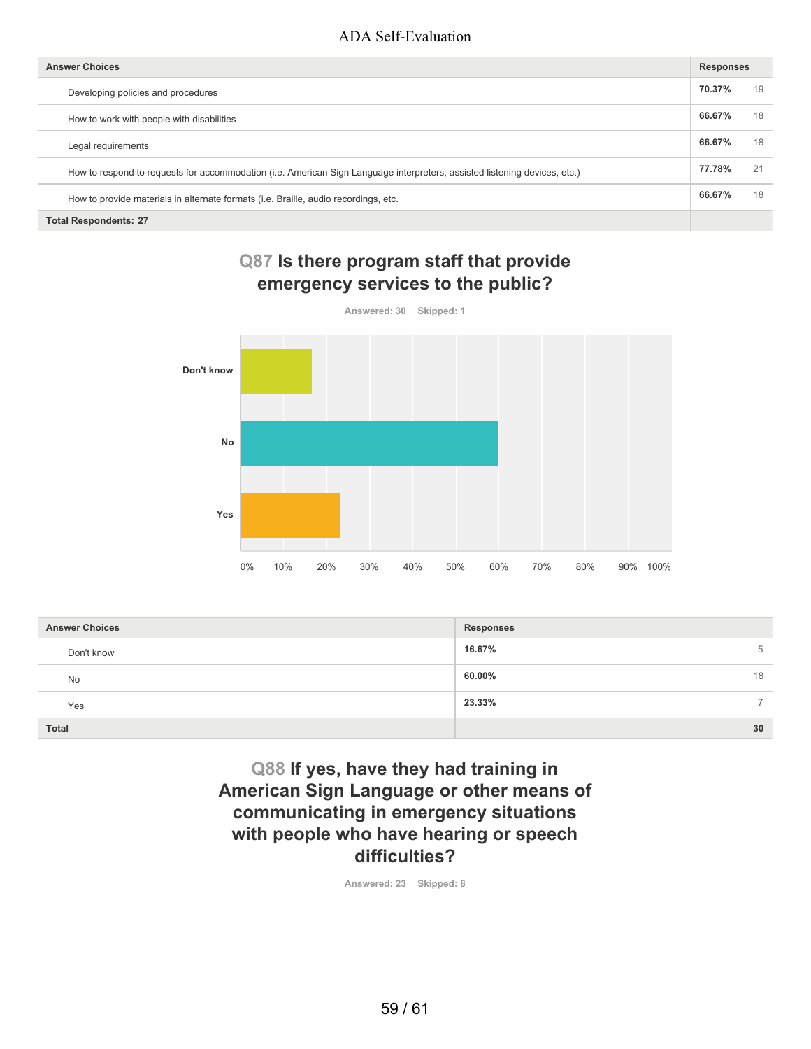| <b>Answer Choices</b>                                                                                                     | <b>Responses</b> |    |
|---------------------------------------------------------------------------------------------------------------------------|------------------|----|
| Developing policies and procedures                                                                                        | 70.37%           | 19 |
| How to work with people with disabilities                                                                                 | 66.67%           | 18 |
| Legal requirements                                                                                                        | 66.67%           | 18 |
| How to respond to requests for accommodation (i.e. American Sign Language interpreters, assisted listening devices, etc.) | 77.78%           | 21 |
| How to provide materials in alternate formats (i.e. Braille, audio recordings, etc.                                       | 66.67%           | 18 |
| <b>Total Respondents: 27</b>                                                                                              |                  |    |

# **Q87 Is there program staff that provide emergency services to the public?**



| <b>Answer Choices</b> | Responses               |
|-----------------------|-------------------------|
| Don't know            | 16.67%<br>5             |
| No                    | 60.00%<br>18            |
| Yes                   | 23.33%<br>$\rightarrow$ |
| <b>Total</b>          | 30                      |

**Q88 If yes, have they had training in American Sign Language or other means of communicating in emergency situations with people who have hearing or speech difficulties?**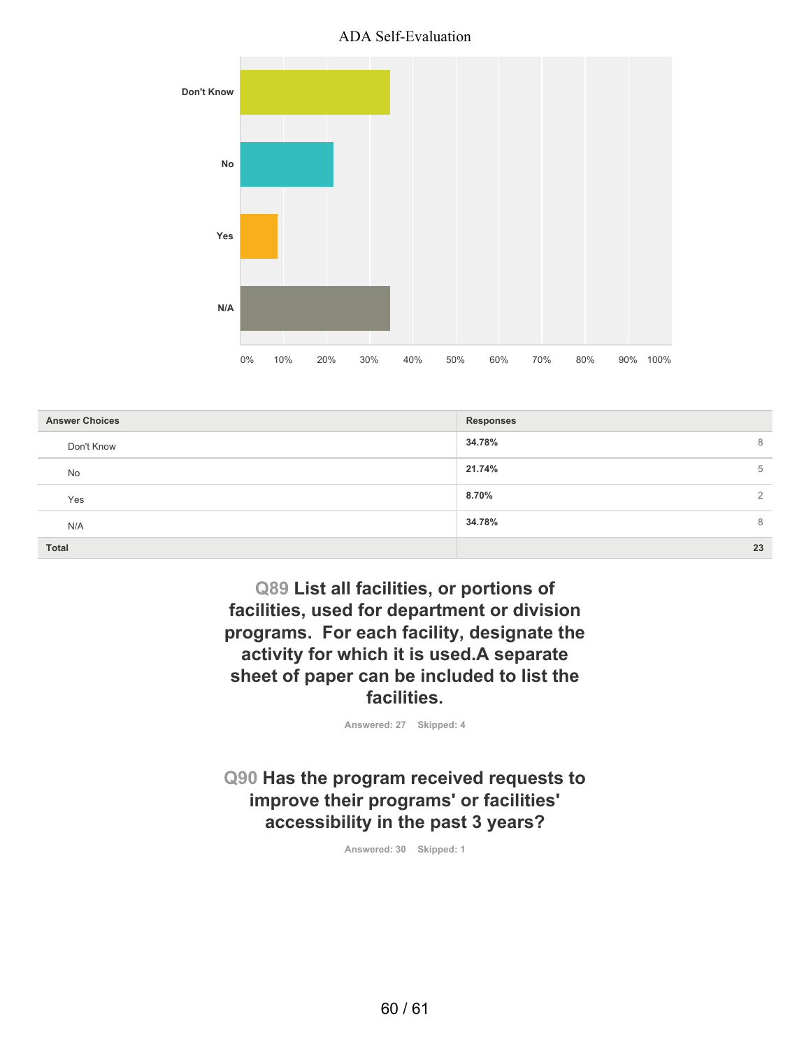

| <b>Answer Choices</b> | Responses   |
|-----------------------|-------------|
| Don't Know            | 34.78%<br>8 |
| No                    | 21.74%<br>5 |
| Yes                   | 8.70%<br>2  |
| N/A                   | 34.78%<br>8 |
| <b>Total</b>          | 23          |

**Q89 List all facilities, or portions of facilities, used for department or division programs. For each facility, designate the activity for which it is used.A separate sheet of paper can be included to list the facilities.**

**Answered: 27 Skipped: 4**

**Q90 Has the program received requests to improve their programs' or facilities' accessibility in the past 3 years?**